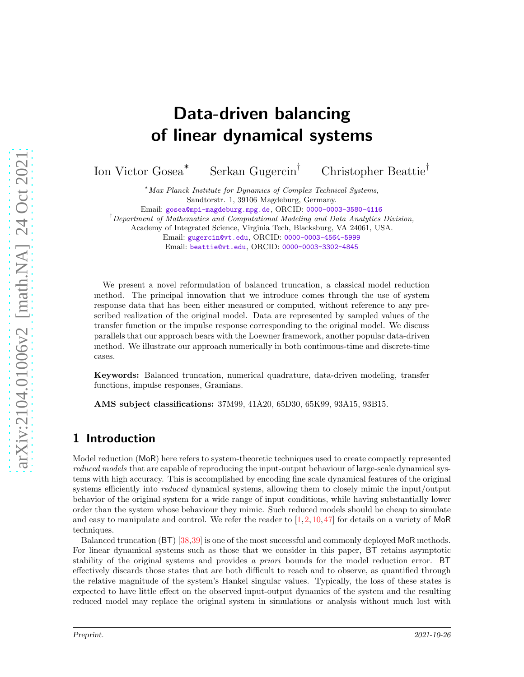# Data-driven balancing of linear dynamical systems

Ion Victor Gosea<sup>∗</sup> Serkan Gugercin† Christopher Beattie†

> <sup>∗</sup>Max Planck Institute for Dynamics of Complex Technical Systems, Sandtorstr. 1, 39106 Magdeburg, Germany.

Email: [gosea@mpi-magdeburg.mpg.de](mailto:gosea@mpi-magdeburg.mpg.de), ORCID: [0000-0003-3580-4116](https://orcid.org/0000-0003-3580-4116)

<sup>†</sup>Department of Mathematics and Computational Modeling and Data Analytics Division,

Academy of Integrated Science, Virginia Tech, Blacksburg, VA 24061, USA.

Email: [gugercin@vt.edu](mailto:gugercin@vt.edu), ORCID: [0000-0003-4564-5999](https://orcid.org/0000-0003-4564-5999)

Email: [beattie@vt.edu](mailto:beattie@vt.edu), ORCID: [0000-0003-3302-4845](https://orcid.org/0000-0003-3302-4845)

We present a novel reformulation of balanced truncation, a classical model reduction method. The principal innovation that we introduce comes through the use of system response data that has been either measured or computed, without reference to any prescribed realization of the original model. Data are represented by sampled values of the transfer function or the impulse response corresponding to the original model. We discuss parallels that our approach bears with the Loewner framework, another popular data-driven method. We illustrate our approach numerically in both continuous-time and discrete-time cases.

Keywords: Balanced truncation, numerical quadrature, data-driven modeling, transfer functions, impulse responses, Gramians.

AMS subject classifications: 37M99, 41A20, 65D30, 65K99, 93A15, 93B15.

## 1 Introduction

Model reduction (MoR) here refers to system-theoretic techniques used to create compactly represented *reduced models* that are capable of reproducing the input-output behaviour of large-scale dynamical systems with high accuracy. This is accomplished by encoding fine scale dynamical features of the original systems efficiently into *reduced* dynamical systems, allowing them to closely mimic the input/output behavior of the original system for a wide range of input conditions, while having substantially lower order than the system whose behaviour they mimic. Such reduced models should be cheap to simulate and easy to manipulate and control. We refer the reader to  $[1,2,10,47]$  $[1,2,10,47]$  $[1,2,10,47]$  $[1,2,10,47]$  for details on a variety of MoR techniques.

Balanced truncation (BT) [\[38,](#page-24-1)[39\]](#page-24-2) is one of the most successful and commonly deployed MoR methods. For linear dynamical systems such as those that we consider in this paper, BT retains asymptotic stability of the original systems and provides *a priori* bounds for the model reduction error. BT effectively discards those states that are both difficult to reach and to observe, as quantified through the relative magnitude of the system's Hankel singular values. Typically, the loss of these states is expected to have little effect on the observed input-output dynamics of the system and the resulting reduced model may replace the original system in simulations or analysis without much lost with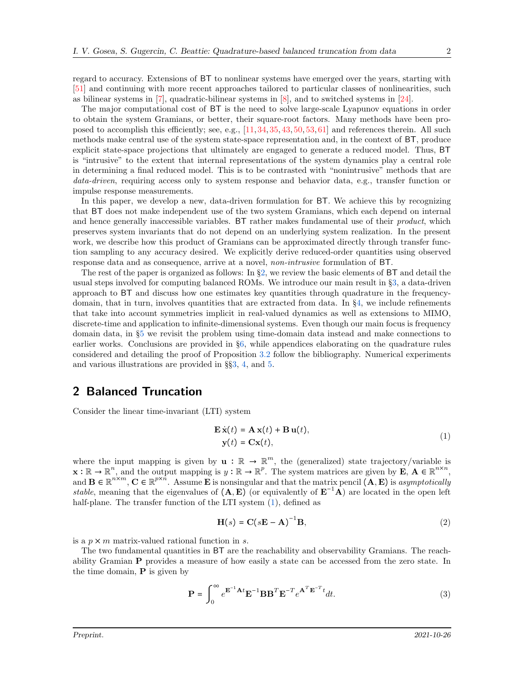regard to accuracy. Extensions of BT to nonlinear systems have emerged over the years, starting with [\[51\]](#page-25-0) and continuing with more recent approaches tailored to particular classes of nonlinearities, such as bilinear systems in  $[7]$ , quadratic-bilinear systems in  $[8]$ , and to switched systems in  $[24]$ .

The major computational cost of BT is the need to solve large-scale Lyapunov equations in order to obtain the system Gramians, or better, their square-root factors. Many methods have been proposed to accomplish this efficiently; see, e.g., [\[11,](#page-22-5) [34,](#page-24-3) [35,](#page-24-4) [43,](#page-24-5) [50,](#page-24-6) [53,](#page-25-1) [61\]](#page-25-2) and references therein. All such methods make central use of the system state-space representation and, in the context of BT, produce explicit state-space projections that ultimately are engaged to generate a reduced model. Thus, BT is "intrusive" to the extent that internal representations of the system dynamics play a central role in determining a final reduced model. This is to be contrasted with "nonintrusive" methods that are *data-driven*, requiring access only to system response and behavior data, e.g., transfer function or impulse response measurements.

In this paper, we develop a new, data-driven formulation for BT. We achieve this by recognizing that BT does not make independent use of the two system Gramians, which each depend on internal and hence generally inaccessible variables. BT rather makes fundamental use of their *product*, which preserves system invariants that do not depend on an underlying system realization. In the present work, we describe how this product of Gramians can be approximated directly through transfer function sampling to any accuracy desired. We explicitly derive reduced-order quantities using observed response data and as consequence, arrive at a novel, *non-intrusive* formulation of BT.

The rest of the paper is organized as follows: In §[2,](#page-1-0) we review the basic elements of BT and detail the usual steps involved for computing balanced ROMs. We introduce our main result in §[3,](#page-3-0) a data-driven approach to BT and discuss how one estimates key quantities through quadrature in the frequencydomain, that in turn, involves quantities that are extracted from data. In §[4,](#page-13-0) we include refinements that take into account symmetries implicit in real-valued dynamics as well as extensions to MIMO, discrete-time and application to infinite-dimensional systems. Even though our main focus is frequency domain data, in §[5](#page-18-0) we revisit the problem using time-domain data instead and make connections to earlier works. Conclusions are provided in §[6,](#page-22-6) while appendices elaborating on the quadrature rules considered and detailing the proof of Proposition [3.2](#page-5-0) follow the bibliography. Numerical experiments and various illustrations are provided in §§[3,](#page-3-0) [4,](#page-13-0) and [5.](#page-18-0)

## <span id="page-1-0"></span>2 Balanced Truncation

Consider the linear time-invariant (LTI) system

<span id="page-1-1"></span>
$$
\mathbf{E}\,\dot{\mathbf{x}}(t) = \mathbf{A}\,\mathbf{x}(t) + \mathbf{B}\,\mathbf{u}(t),
$$
  
\n
$$
\mathbf{y}(t) = \mathbf{C}\mathbf{x}(t),
$$
\n(1)

where the input mapping is given by  $\mathbf{u}: \mathbb{R} \to \mathbb{R}^m$ , the (generalized) state trajectory/variable is  $\mathbf{x} : \mathbb{R} \to \mathbb{R}^n$ , and the output mapping is  $y : \mathbb{R} \to \mathbb{R}^p$ . The system matrices are given by  $\mathbf{E}, \mathbf{A} \in \mathbb{R}^{n \times n}$ , and  $\mathbf{B} \in \mathbb{R}^{n \times m}$ ,  $\mathbf{C} \in \mathbb{R}^{p \times n}$ . Assume **E** is nonsingular and that the matrix pencil  $(\mathbf{A}, \mathbf{E})$  is *asymptotically stable*, meaning that the eigenvalues of  $(A, E)$  (or equivalently of  $E^{-1}A$ ) are located in the open left half-plane. The transfer function of the LTI system  $(1)$ , defined as

<span id="page-1-2"></span>
$$
\mathbf{H}(s) = \mathbf{C}(s\mathbf{E} - \mathbf{A})^{-1}\mathbf{B},\tag{2}
$$

is a  $p \times m$  matrix-valued rational function in s.

The two fundamental quantities in BT are the reachability and observability Gramians. The reachability Gramian P provides a measure of how easily a state can be accessed from the zero state. In the time domain,  $P$  is given by

$$
\mathbf{P} = \int_0^\infty e^{\mathbf{E}^{-1}\mathbf{A}t} \mathbf{E}^{-1} \mathbf{B} \mathbf{B}^T \mathbf{E}^{-T} e^{\mathbf{A}^T \mathbf{E}^{-T}t} dt.
$$
 (3)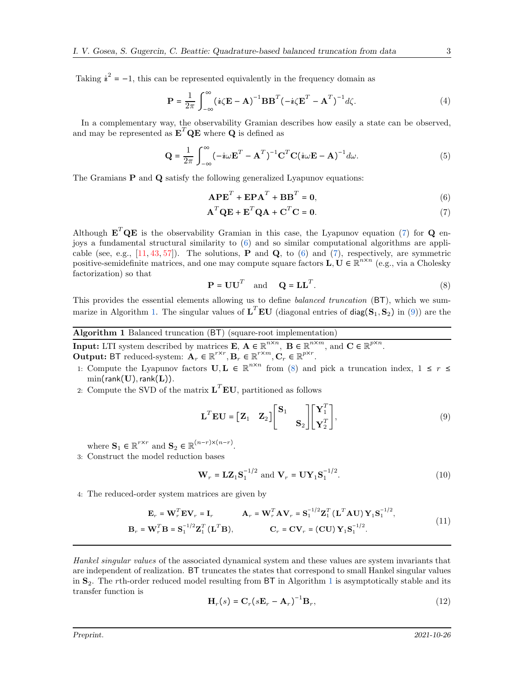Taking  $\dot{u}^2 = -1$ , this can be represented equivalently in the frequency domain as

$$
\mathbf{P} = \frac{1}{2\pi} \int_{-\infty}^{\infty} (\dot{\mathbf{\imath}} \zeta \mathbf{E} - \mathbf{A})^{-1} \mathbf{B} \mathbf{B}^T (-\dot{\mathbf{\imath}} \zeta \mathbf{E}^T - \mathbf{A}^T)^{-1} d\zeta.
$$
 (4)

In a complementary way, the observability Gramian describes how easily a state can be observed, and may be represented as  $\mathbf{E}^T \mathbf{Q} \mathbf{E}$  where  $\mathbf{Q}$  is defined as

$$
\mathbf{Q} = \frac{1}{2\pi} \int_{-\infty}^{\infty} (-i\omega \mathbf{E}^T - \mathbf{A}^T)^{-1} \mathbf{C}^T \mathbf{C} (i\omega \mathbf{E} - \mathbf{A})^{-1} d\omega.
$$
 (5)

The Gramians  $P$  and  $Q$  satisfy the following generalized Lyapunov equations:

<span id="page-2-6"></span><span id="page-2-5"></span><span id="page-2-1"></span><span id="page-2-0"></span>
$$
A P ET + E P AT + B BT = 0,
$$
\n(6)

$$
\mathbf{A}^T \mathbf{Q} \mathbf{E} + \mathbf{E}^T \mathbf{Q} \mathbf{A} + \mathbf{C}^T \mathbf{C} = \mathbf{0}.\tag{7}
$$

Although  $\mathbf{E}^T \mathbf{Q} \mathbf{E}$  is the observability Gramian in this case, the Lyapunov equation [\(7\)](#page-2-0) for  $\mathbf{Q}$  enjoys a fundamental structural similarity to [\(6\)](#page-2-1) and so similar computational algorithms are applicable (see, e.g.,  $[11, 43, 57]$  $[11, 43, 57]$  $[11, 43, 57]$  $[11, 43, 57]$ ). The solutions, **P** and **Q**, to [\(6\)](#page-2-1) and [\(7\)](#page-2-0), respectively, are symmetric positive-semidefinite matrices, and one may compute square factors  $\mathbf{L}, \mathbf{U} \in \mathbb{R}^{n \times n}$  (e.g., via a Cholesky factorization) so that

<span id="page-2-4"></span>
$$
\mathbf{P} = \mathbf{U}\mathbf{U}^T \quad \text{and} \quad \mathbf{Q} = \mathbf{L}\mathbf{L}^T. \tag{8}
$$

This provides the essential elements allowing us to define *balanced truncation* (BT), which we sum-marize in Algorithm [1.](#page-2-2) The singular values of  $L^T E U$  (diagonal entries of diag( $S_1, S_2$ ) in [\(9\)](#page-2-3)) are the

<span id="page-2-2"></span>Algorithm 1 Balanced truncation (BT) (square-root implementation)

**Input:** LTI system described by matrices **E**,  $\mathbf{A} \in \mathbb{R}^{n \times n}$ ,  $\mathbf{B} \in \mathbb{R}^{n \times m}$ , and  $\mathbf{C} \in \mathbb{R}^{p \times n}$ . **Output:** BT reduced-system:  $\mathbf{A}_r \in \mathbb{R}^{r \times r}$ ,  $\mathbf{B}_r \in \mathbb{R}^{r \times m}$ ,  $\mathbf{C}_r \in \mathbb{R}^{p \times r}$ .

- 1: Compute the Lyapunov factors  $\mathbf{U}, \mathbf{L} \in \mathbb{R}^{n \times n}$  from [\(8\)](#page-2-4) and pick a truncation index,  $1 \leq r \leq$  $min(rank(U),rank(L)).$
- 2: Compute the SVD of the matrix  $\mathbf{L}^T \mathbf{E} \mathbf{U}$ , partitioned as follows

<span id="page-2-7"></span><span id="page-2-3"></span>
$$
\mathbf{L}^T \mathbf{E} \mathbf{U} = \begin{bmatrix} \mathbf{Z}_1 & \mathbf{Z}_2 \end{bmatrix} \begin{bmatrix} \mathbf{S}_1 & \\ & \mathbf{S}_2 \end{bmatrix} \begin{bmatrix} \mathbf{Y}_1^T \\ \mathbf{Y}_2^T \end{bmatrix},\tag{9}
$$

where  $\mathbf{S}_1 \in \mathbb{R}^{r \times r}$  and  $\mathbf{S}_2 \in \mathbb{R}^{(n-r) \times (n-r)}$ .

<span id="page-2-8"></span>3: Construct the model reduction bases

<span id="page-2-10"></span>
$$
\mathbf{W}_r = \mathbf{L}\mathbf{Z}_1\mathbf{S}_1^{-1/2} \text{ and } \mathbf{V}_r = \mathbf{U}\mathbf{Y}_1\mathbf{S}_1^{-1/2}.
$$
 (10)

<span id="page-2-9"></span>4: The reduced-order system matrices are given by

$$
\mathbf{E}_r = \mathbf{W}_r^T \mathbf{E} \mathbf{V}_r = \mathbf{I}_r \qquad \mathbf{A}_r = \mathbf{W}_r^T \mathbf{A} \mathbf{V}_r = \mathbf{S}_1^{-1/2} \mathbf{Z}_1^T (\mathbf{L}^T \mathbf{A} \mathbf{U}) \mathbf{Y}_1 \mathbf{S}_1^{-1/2},
$$
\n
$$
\mathbf{B}_r = \mathbf{W}_r^T \mathbf{B} = \mathbf{S}_1^{-1/2} \mathbf{Z}_1^T (\mathbf{L}^T \mathbf{B}), \qquad \mathbf{C}_r = \mathbf{C} \mathbf{V}_r = (\mathbf{C} \mathbf{U}) \mathbf{Y}_1 \mathbf{S}_1^{-1/2}.
$$
\n(11)

*Hankel singular values* of the associated dynamical system and these values are system invariants that are independent of realization. BT truncates the states that correspond to small Hankel singular values in  $S_2$ . The rth-order reduced model resulting from BT in Algorithm [1](#page-2-2) is asymptotically stable and its transfer function is

$$
\mathbf{H}_r(s) = \mathbf{C}_r (s \mathbf{E}_r - \mathbf{A}_r)^{-1} \mathbf{B}_r,
$$
\n(12)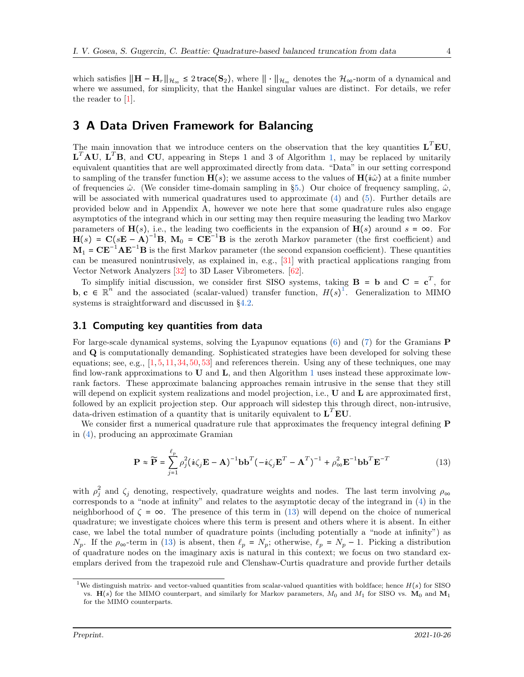which satisfies  $||\mathbf{H} - \mathbf{H}_r||_{\mathcal{H}_{\infty}} \leq 2$  trace(S<sub>2</sub>), where  $|| \cdot ||_{\mathcal{H}_{\infty}}$  denotes the  $\mathcal{H}_{\infty}$ -norm of a dynamical and where we assumed, for simplicity, that the Hankel singular values are distinct. For details, we refer the reader to [\[1\]](#page-22-0).

## <span id="page-3-0"></span>3 A Data Driven Framework for Balancing

The main innovation that we introduce centers on the observation that the key quantities  $L^T E U$ ,  ${\bf L}^T{\bf A}{\bf U}, {\bf L}^T{\bf B}$ , and  ${\bf C}{\bf U}$ , appearing in Steps 1 and 3 of Algorithm [1,](#page-2-2) may be replaced by unitarily equivalent quantities that are well approximated directly from data. "Data" in our setting correspond to sampling of the transfer function  $H(s)$ ; we assume access to the values of  $H(i\hat{\omega})$  at a finite number of frequencies  $\hat{\omega}$ . (We consider time-domain sampling in §[5.](#page-18-0)) Our choice of frequency sampling,  $\hat{\omega}$ , will be associated with numerical quadratures used to approximate [\(4\)](#page-2-5) and [\(5\)](#page-2-6). Further details are provided below and in Appendix A, however we note here that some quadrature rules also engage asymptotics of the integrand which in our setting may then require measuring the leading two Markov parameters of  $\mathbf{H}(s)$ , i.e., the leading two coefficients in the expansion of  $\mathbf{H}(s)$  around  $s = \infty$ . For  $H(s) = C(sE - A)^{-1}B$ ,  $M_0 = CE^{-1}B$  is the zeroth Markov parameter (the first coefficient) and  $M_1 = C E^{-1} A E^{-1} B$  is the first Markov parameter (the second expansion coefficient). These quantities can be measured nonintrusively, as explained in, e.g., [\[31\]](#page-23-1) with practical applications ranging from Vector Network Analyzers [\[32\]](#page-24-7) to 3D Laser Vibrometers. [\[62\]](#page-25-4).

To simplify initial discussion, we consider first SISO systems, taking  $\mathbf{B} = \mathbf{b}$  and  $\mathbf{C} = \mathbf{c}^T$ , for **b, c**  $\in \mathbb{R}^n$  and the associated (scalar-valued) transfer function,  $H(s)$ <sup>[1](#page-3-1)</sup>. Generalization to MIMO systems is straightforward and discussed in §[4.2.](#page-15-0)

#### 3.1 Computing key quantities from data

For large-scale dynamical systems, solving the Lyapunov equations [\(6\)](#page-2-1) and [\(7\)](#page-2-0) for the Gramians P and Q is computationally demanding. Sophisticated strategies have been developed for solving these equations; see, e.g.,  $[1, 5, 11, 34, 50, 53]$  $[1, 5, 11, 34, 50, 53]$  $[1, 5, 11, 34, 50, 53]$  $[1, 5, 11, 34, 50, 53]$  $[1, 5, 11, 34, 50, 53]$  $[1, 5, 11, 34, 50, 53]$  $[1, 5, 11, 34, 50, 53]$  $[1, 5, 11, 34, 50, 53]$  $[1, 5, 11, 34, 50, 53]$  $[1, 5, 11, 34, 50, 53]$  and references therein. Using any of these techniques, one may find low-rank approximations to  $U$  and  $L$ , and then Algorithm [1](#page-2-2) uses instead these approximate lowrank factors. These approximate balancing approaches remain intrusive in the sense that they still will depend on explicit system realizations and model projection, i.e., **U** and **L** are approximated first, followed by an explicit projection step. Our approach will sidestep this through direct, non-intrusive, data-driven estimation of a quantity that is unitarily equivalent to  $\mathbf{L}^T \mathbf{E} \mathbf{U}$ .

We consider first a numerical quadrature rule that approximates the frequency integral defining **P** in [\(4\)](#page-2-5), producing an approximate Gramian

<span id="page-3-2"></span>
$$
\mathbf{P} \approx \widetilde{\mathbf{P}} = \sum_{j=1}^{\ell_p} \rho_j^2 (\dot{\mathbf{i}} \zeta_j \mathbf{E} - \mathbf{A})^{-1} \mathbf{b} \mathbf{b}^T (-\dot{\mathbf{i}} \zeta_j \mathbf{E}^T - \mathbf{A}^T)^{-1} + \rho_{\infty}^2 \mathbf{E}^{-1} \mathbf{b} \mathbf{b}^T \mathbf{E}^{-T}
$$
(13)

with  $\rho_j^2$  and  $\zeta_j$  denoting, respectively, quadrature weights and nodes. The last term involving  $\rho_{\infty}$ corresponds to a "node at infinity" and relates to the asymptotic decay of the integrand in [\(4\)](#page-2-5) in the neighborhood of  $\zeta = \infty$ . The presence of this term in [\(13\)](#page-3-2) will depend on the choice of numerical quadrature; we investigate choices where this term is present and others where it is absent. In either case, we label the total number of quadrature points (including potentially a "node at infinity") as  $N_p$ . If the  $\rho_{\infty}$ -term in [\(13\)](#page-3-2) is absent, then  $\ell_p = N_p$ ; otherwise,  $\ell_p = N_p - 1$ . Picking a distribution of quadrature nodes on the imaginary axis is natural in this context; we focus on two standard exemplars derived from the trapezoid rule and Clenshaw-Curtis quadrature and provide further details

<span id="page-3-1"></span><sup>&</sup>lt;sup>1</sup>We distinguish matrix- and vector-valued quantities from scalar-valued quantities with boldface; hence  $H(s)$  for SISO vs.  $H(s)$  for the MIMO counterpart, and similarly for Markov parameters,  $M_0$  and  $M_1$  for SISO vs.  $M_0$  and  $M_1$ for the MIMO counterparts.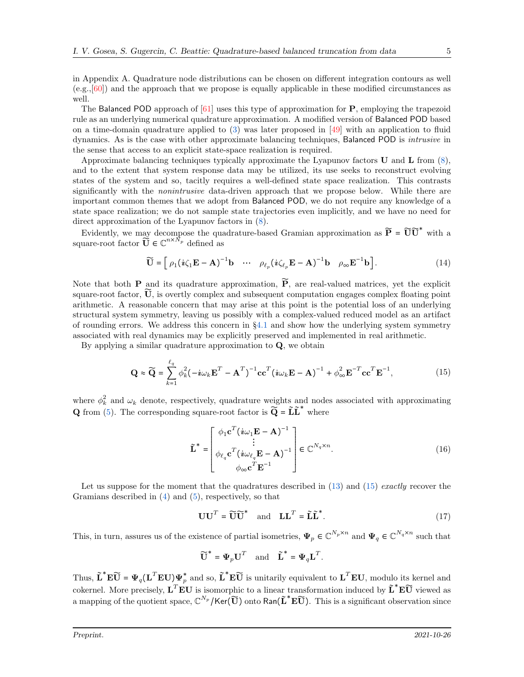in Appendix A. Quadrature node distributions can be chosen on different integration contours as well (e.g.,[\[60\]](#page-25-5)) and the approach that we propose is equally applicable in these modified circumstances as well.

The Balanced POD approach of  $[61]$  uses this type of approximation for **P**, employing the trapezoid rule as an underlying numerical quadrature approximation. A modified version of Balanced POD based on a time-domain quadrature applied to  $(3)$  was later proposed in [\[49\]](#page-24-8) with an application to fluid dynamics. As is the case with other approximate balancing techniques, Balanced POD is *intrusive* in the sense that access to an explicit state-space realization is required.

Approximate balancing techniques typically approximate the Lyapunov factors  $\bf{U}$  and  $\bf{L}$  from  $(8)$ , and to the extent that system response data may be utilized, its use seeks to reconstruct evolving states of the system and so, tacitly requires a well-defined state space realization. This contrasts significantly with the *nonintrusive* data-driven approach that we propose below. While there are important common themes that we adopt from Balanced POD, we do not require any knowledge of a state space realization; we do not sample state trajectories even implicitly, and we have no need for direct approximation of the Lyapunov factors in [\(8\)](#page-2-4).

Evidently, we may decompose the quadrature-based Gramian approximation as  $\tilde{P} = \tilde{U}\tilde{U}^*$  with a square-root factor  $\tilde{\vec{U}} \in \mathbb{C}^{n \times \tilde{N}_p}$  defined as

<span id="page-4-1"></span>
$$
\widetilde{\mathbf{U}} = \left[ \rho_1 (\boldsymbol{i} \zeta_1 \mathbf{E} - \mathbf{A})^{-1} \mathbf{b} \cdots \rho_{\ell_p} (\boldsymbol{i} \zeta_{\ell_p} \mathbf{E} - \mathbf{A})^{-1} \mathbf{b} \rho_{\infty} \mathbf{E}^{-1} \mathbf{b} \right]. \tag{14}
$$

Note that both **P** and its quadrature approximation,  $\widetilde{P}$ , are real-valued matrices, yet the explicit square-root factor,  $\vec{U}$ , is overtly complex and subsequent computation engages complex floating point arithmetic. A reasonable concern that may arise at this point is the potential loss of an underlying structural system symmetry, leaving us possibly with a complex-valued reduced model as an artifact of rounding errors. We address this concern in  $\S4.1$  $\S4.1$  and show how the underlying system symmetry associated with real dynamics may be explicitly preserved and implemented in real arithmetic.

By applying a similar quadrature approximation to  $Q$ , we obtain

$$
\mathbf{Q} \approx \widetilde{\mathbf{Q}} = \sum_{k=1}^{\ell_q} \phi_k^2 (-i\omega_k \mathbf{E}^T - \mathbf{A}^T)^{-1} \mathbf{c} \mathbf{c}^T (i\omega_k \mathbf{E} - \mathbf{A})^{-1} + \phi_\infty^2 \mathbf{E}^{-T} \mathbf{c} \mathbf{c}^T \mathbf{E}^{-1},
$$
(15)

where  $\phi_k^2$  and  $\omega_k$  denote, respectively, quadrature weights and nodes associated with approximating **Q** from [\(5\)](#page-2-6). The corresponding square-root factor is  $\widetilde{Q} = \widetilde{L}\widetilde{L}^*$  where

<span id="page-4-2"></span><span id="page-4-0"></span>
$$
\tilde{\mathbf{L}}^* = \begin{bmatrix} \phi_1 \mathbf{c}^T (\boldsymbol{i}\omega_1 \mathbf{E} - \mathbf{A})^{-1} \\ \vdots \\ \phi_{\ell_q} \mathbf{c}^T (\boldsymbol{i}\omega_{\ell_q} \mathbf{E} - \mathbf{A})^{-1} \\ \phi_{\infty} \mathbf{c}^T \mathbf{E}^{-1} \end{bmatrix} \in \mathbb{C}^{N_q \times n}.
$$
 (16)

Let us suppose for the moment that the quadratures described in [\(13\)](#page-3-2) and [\(15\)](#page-4-0) *exactly* recover the Gramians described in  $(4)$  and  $(5)$ , respectively, so that

> <span id="page-4-3"></span> $\mathbf{U}\mathbf{U}^T = \widetilde{\mathbf{U}}\widetilde{\mathbf{U}}^*$  and  $\mathbf{L}\mathbf{L}^T = \widetilde{\mathbf{L}}\widetilde{\mathbf{L}}^*$  $(17)$

This, in turn, assures us of the existence of partial isometries,  $\Psi_p \in \mathbb{C}^{N_p \times n}$  and  $\Psi_q \in \mathbb{C}^{N_q \times n}$  such that

$$
\widetilde{\textbf{U}}^* = \boldsymbol{\Psi}_p \textbf{U}^T \quad \text{and} \quad \widetilde{\textbf{L}}^* = \boldsymbol{\Psi}_q \textbf{L}^T.
$$

Thus,  $\tilde{\mathbf{L}}^* \mathbf{E} \widetilde{\mathbf{U}} = \mathbf{\Psi}_q (\mathbf{L}^T \mathbf{E} \mathbf{U}) \mathbf{\Psi}_p^*$  and so,  $\tilde{\mathbf{L}}^* \mathbf{E} \widetilde{\mathbf{U}}$  is unitarily equivalent to  $\mathbf{L}^T \mathbf{E} \mathbf{U}$ , modulo its kernel and cokernel. More precisely,  $\mathbf{L}^T \mathbf{E} \mathbf{U}$  is isomorphic to a linear transformation induced by  $\tilde{\mathbf{L}}^* \mathbf{E} \tilde{\mathbf{U}}$  viewed as a mapping of the quotient space,  $\mathbb{C}^{N_p}/\text{Ker}(\widetilde{\mathbf{U}})$  onto  $\text{Ran}(\widetilde{\mathbf{L}}^* \mathbf{E} \widetilde{\mathbf{U}})$ . This is a significant observation since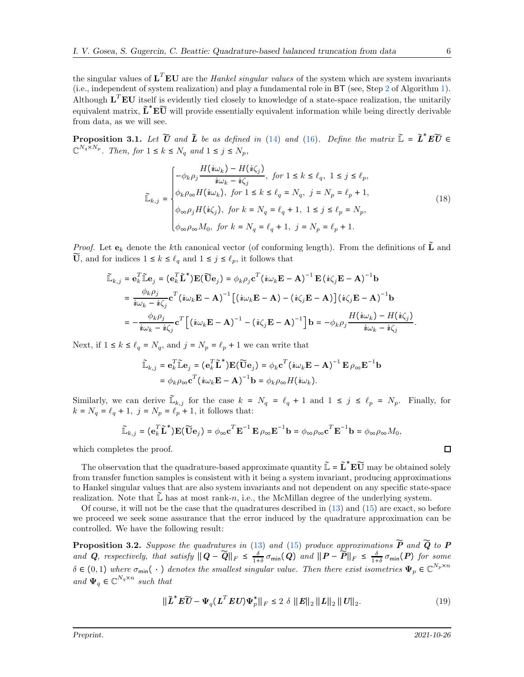the singular values of  $\mathbf{L}^T \mathbf{E} \mathbf{U}$  are the *Hankel singular values* of the system which are system invariants (i.e., independent of system realization) and play a fundamental role in BT (see, Step [2](#page-2-7) of Algorithm [1\)](#page-2-2). Although  $\mathbf{L}^T \mathbf{E} \mathbf{U}$  itself is evidently tied closely to knowledge of a state-space realization, the unitarily equivalent matrix,  $\tilde{L}^*E\tilde{U}$  will provide essentially equivalent information while being directly derivable from data, as we will see.

<span id="page-5-1"></span>**Proposition 3.1.** Let  $\widetilde{U}$  and  $\widetilde{L}$  be as defined in [\(14\)](#page-4-1) and [\(16\)](#page-4-2). Define the matrix  $\widetilde{\mathbb{L}} = \widetilde{L}^* E \widetilde{U} \in$  $\mathbb{C}^{N_q \times N_p}$ *. Then, for*  $1 \leq k \leq N_q$  *and*  $1 \leq j \leq N_p$ *,* 

<span id="page-5-2"></span>
$$
\widetilde{\mathbb{L}}_{k,j} = \begin{cases}\n-\phi_k \rho_j \frac{H(i\omega_k) - H(i\zeta_j)}{i\omega_k - i\zeta_j}, & \text{for } 1 \le k \le \ell_q, 1 \le j \le \ell_p, \\
\phi_k \rho_\infty H(i\omega_k), & \text{for } 1 \le k \le \ell_q = N_q, j = N_p = \ell_p + 1, \\
\phi_\infty \rho_j H(i\zeta_j), & \text{for } k = N_q = \ell_q + 1, 1 \le j \le \ell_p = N_p, \\
\phi_\infty \rho_\infty M_0, & \text{for } k = N_q = \ell_q + 1, j = N_p = \ell_p + 1.\n\end{cases}
$$
\n(18)

*Proof.* Let  $e_k$  denote the kth canonical vector (of conforming length). From the definitions of  $\tilde{L}$  and  $\widetilde{\mathbf{U}}$ , and for indices  $1 \leq k \leq \ell_q$  and  $1 \leq j \leq \ell_p$ , it follows that

$$
\tilde{\mathbb{L}}_{k,j} = \mathbf{e}_k^T \tilde{\mathbb{L}} \mathbf{e}_j = (\mathbf{e}_k^T \tilde{\mathbf{L}}^*) \mathbf{E} (\tilde{\mathbf{U}} \mathbf{e}_j) = \phi_k \rho_j \mathbf{c}^T (\dot{\mathbf{i}} \omega_k \mathbf{E} - \mathbf{A})^{-1} \mathbf{E} (\dot{\mathbf{i}} \zeta_j \mathbf{E} - \mathbf{A})^{-1} \mathbf{b}
$$
\n
$$
= \frac{\phi_k \rho_j}{\dot{\mathbf{i}} \omega_k - \dot{\mathbf{i}} \zeta_j} \mathbf{c}^T (\dot{\mathbf{i}} \omega_k \mathbf{E} - \mathbf{A})^{-1} [(\dot{\mathbf{i}} \omega_k \mathbf{E} - \mathbf{A}) - (\dot{\mathbf{i}} \zeta_j \mathbf{E} - \mathbf{A})] (\dot{\mathbf{i}} \zeta_j \mathbf{E} - \mathbf{A})^{-1} \mathbf{b}
$$
\n
$$
= -\frac{\phi_k \rho_j}{\dot{\mathbf{i}} \omega_k - \dot{\mathbf{i}} \zeta_j} \mathbf{c}^T [(\dot{\mathbf{i}} \omega_k \mathbf{E} - \mathbf{A})^{-1} - (\dot{\mathbf{i}} \zeta_j \mathbf{E} - \mathbf{A})^{-1}] \mathbf{b} = -\phi_k \rho_j \frac{H (\dot{\mathbf{i}} \omega_k) - H (\dot{\mathbf{i}} \zeta_j)}{\dot{\mathbf{i}} \omega_k - \dot{\mathbf{i}} \zeta_j}.
$$

Next, if  $1 \le k \le \ell_q = N_q$ , and  $j = N_p = \ell_p + 1$  we can write that

$$
\widetilde{\mathbb{L}}_{k,j} = \mathbf{e}_k^T \widetilde{\mathbb{L}} \mathbf{e}_j = (\mathbf{e}_k^T \widetilde{\mathbf{L}}^*) \mathbf{E} (\widetilde{\mathbf{U}} \mathbf{e}_j) = \phi_k \mathbf{c}^T (\mathbf{i} \omega_k \mathbf{E} - \mathbf{A})^{-1} \mathbf{E} \rho_{\infty} \mathbf{E}^{-1} \mathbf{b}
$$
  
=  $\phi_k \rho_{\infty} \mathbf{c}^T (\mathbf{i} \omega_k \mathbf{E} - \mathbf{A})^{-1} \mathbf{b} = \phi_k \rho_{\infty} H (\mathbf{i} \omega_k).$ 

Similarly, we can derive  $\mathbb{L}_{k,j}$  for the case  $k = N_q = \ell_q + 1$  and  $1 \leq j \leq \ell_p = N_p$ . Finally, for  $k = N_q = \ell_q + 1$ ,  $j = N_p = \ell_p + 1$ , it follows that:

$$
\widetilde{\mathbb{L}}_{k,j} = (\mathbf{e}_k^T \widetilde{\mathbf{L}}^*) \mathbf{E} (\widetilde{\mathbf{U}} \mathbf{e}_j) = \phi_{\infty} \mathbf{c}^T \mathbf{E}^{-1} \mathbf{E} \rho_{\infty} \mathbf{E}^{-1} \mathbf{b} = \phi_{\infty} \rho_{\infty} \mathbf{c}^T \mathbf{E}^{-1} \mathbf{b} = \phi_{\infty} \rho_{\infty} M_0,
$$

which completes the proof.

The observation that the quadrature-based approximate quantity  $\mathbb{L} = \mathbb{L}^* \mathbf{E} \mathbb{U}$  may be obtained solely from transfer function samples is consistent with it being a system invariant, producing approximations to Hankel singular values that are also system invariants and not dependent on any specific state-space realization. Note that  $\mathbb{L}$  has at most rank-n, i.e., the McMillan degree of the underlying system.

Of course, it will not be the case that the quadratures described in [\(13\)](#page-3-2) and [\(15\)](#page-4-0) are exact, so before we proceed we seek some assurance that the error induced by the quadrature approximation can be controlled. We have the following result:

<span id="page-5-0"></span>Proposition 3.2. *Suppose the quadratures in* [\(13\)](#page-3-2) *and* [\(15\)](#page-4-0) *produce approximations* P̃ *and* Q̃ *to* P and Q, respectively, that satisfy  $||Q - \widetilde{Q}||_F \leq \frac{\delta}{1+\delta} \sigma_{\min}(Q)$  and  $||P - \widetilde{P}||_F \leq \frac{\delta}{1+\delta} \sigma_{\min}(P)$  for some  $\delta \in (0,1)$  where  $\sigma_{\min}(\cdot)$  denotes the smallest singular value. Then there exist isometries  $\Psi_p \in \mathbb{C}^{N_p \times n}$ *and*  $\Psi_q \in \mathbb{C}^{N_q \times n}$  *such that* 

<span id="page-5-3"></span>
$$
\|\tilde{\boldsymbol{L}}^* \boldsymbol{E} \widetilde{\boldsymbol{U}} - \boldsymbol{\Psi}_q (\boldsymbol{L}^T \boldsymbol{E} \boldsymbol{U}) \boldsymbol{\Psi}_p^* \|_F \le 2 \delta \|\boldsymbol{E}\|_2 \|\boldsymbol{L}\|_2 \|\boldsymbol{U}\|_2.
$$
 (19)

 $\Box$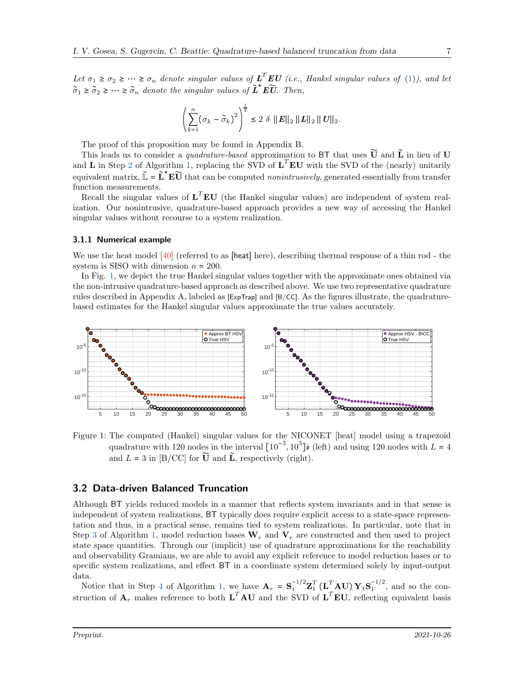Let  $\sigma_1 \geq \sigma_2 \geq \cdots \geq \sigma_n$  denote singular values of  $\mathbf{L}^T \mathbf{E} \mathbf{U}$  (i.e., Hankel singular values of [\(1\)](#page-1-1)), and let  $\tilde{\sigma}_1 \geq \tilde{\sigma}_2 \geq \cdots \geq \tilde{\sigma}_n$  denote the singular values of  $\tilde{L}^* E \tilde{U}$ . Then,

$$
\left(\sum_{k=1}^n \left(\sigma_k - \widetilde{\sigma}_k\right)^2\right)^{\frac{1}{2}} \leq 2 \ \delta \ \|\boldsymbol{E}\|_2 \ \|\boldsymbol{L}\|_2 \ \|\boldsymbol{U}\|_2.
$$

The proof of this proposition may be found in Appendix B.

This leads us to consider a *quadrature-based* approximation to BT that uses  $\widetilde{U}$  and  $\widetilde{L}$  in lieu of U and **L** in Step [2](#page-2-7) of Algorithm [1,](#page-2-2) replacing the SVD of  $L^T E U$  with the SVD of the (nearly) unitarily equivalent matrix,  $\mathbb{L} = \mathbb{L}^* \mathbf{E} \widetilde{\mathbf{U}}$  that can be computed *nonintrusively*, generated essentially from transfer function measurements.

Recall the singular values of  $L^T E U$  (the Hankel singular values) are independent of system realization. Our nonintrusive, quadrature-based approach provides a new way of accessing the Hankel singular values without recourse to a system realization.

#### <span id="page-6-1"></span>3.1.1 Numerical example

We use the heat model [\[40\]](#page-24-9) (referred to as [heat] here), describing thermal response of a thin rod - the system is SISO with dimension  $n = 200$ .

In Fig. [1,](#page-6-0) we depict the true Hankel singular values together with the approximate ones obtained via the non-intrusive quadrature-based approach as described above. We use two representative quadrature rules described in Appendix A, labeled as [ExpTrap] and [B/CC]. As the figures illustrate, the quadraturebased estimates for the Hankel singular values approximate the true values accurately.

<span id="page-6-0"></span>

Figure 1: The computed (Hankel) singular values for the NICONET [heat] model using a trapezoid quadrature with 120 nodes in the interval  $[10^{-3}, 10^3]$ **i** (left) and using 120 nodes with  $L = 4$ and  $L = 3$  in [B/CC] for  $\widetilde{U}$  and  $\widetilde{L}$ , respectively (right).

### 3.2 Data-driven Balanced Truncation

Although BT yields reduced models in a manner that reflects system invariants and in that sense is independent of system realizations, BT typically does require explicit access to a state-space representation and thus, in a practical sense, remains tied to system realizations. In particular, note that in Step [3](#page-2-8) of Algorithm [1,](#page-2-2) model reduction bases  $W_r$  and  $V_r$  are constructed and then used to project state space quantities. Through our (implicit) use of quadrature approximations for the reachability and observability Gramians, we are able to avoid any explicit reference to model reduction bases or to specific system realizations, and effect BT in a coordinate system determined solely by input-output data.

Notice that in Step [4](#page-2-9) of Algorithm [1,](#page-2-2) we have  $\mathbf{A}_r = \mathbf{S}_1^{-1/2} \mathbf{Z}_1^T (\mathbf{L}_r^T \mathbf{A} \mathbf{U}) \mathbf{Y}_1 \mathbf{S}_1^{-1/2}$ , and so the construction of  $A_r$  makes reference to both  $L^T A U$  and the SVD of  $L^T E U$ , reflecting equivalent basis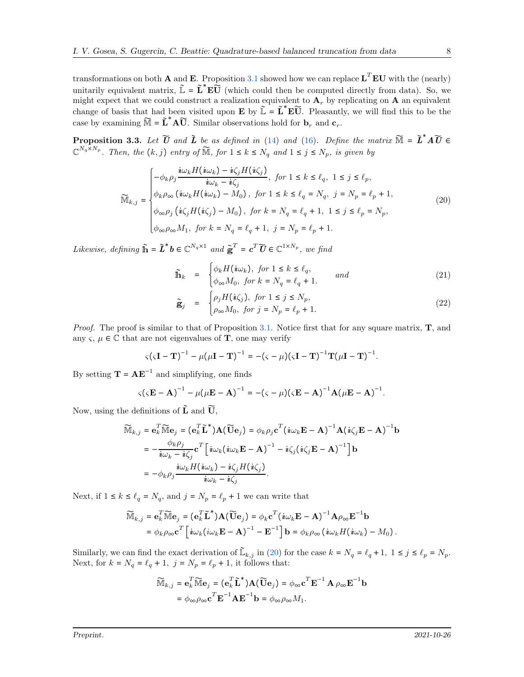transformations on both **A** and **E**. Proposition [3.1](#page-5-1) showed how we can replace  $L^T E U$  with the (nearly) unitarily equivalent matrix,  $\mathbb{L} = \mathbb{L}^* \mathbf{E} \mathbb{U}$  (which could then be computed directly from data). So, we might expect that we could construct a realization equivalent to  $A_r$  by replicating on A an equivalent change of basis that had been visited upon **E** by  $\tilde{\mathbb{L}} = \tilde{\mathbf{L}}^* \mathbf{E} \tilde{\mathbf{U}}$ . Pleasantly, we will find this to be the case by examining  $\widetilde{M} = \widetilde{L}^* A \widetilde{U}$ . Similar observations hold for  $\mathbf{b}_r$  and  $\mathbf{c}_r$ .

<span id="page-7-2"></span>**Proposition 3.3.** Let  $\widetilde{U}$  and  $\widetilde{L}$  be as defined in [\(14\)](#page-4-1) and [\(16\)](#page-4-2). Define the matrix  $\widetilde{M} = \widetilde{L}^* A \widetilde{U} \in$  $\mathbb{C}^{N_q \times N_p}$ . Then, the  $(k, j)$  entry of  $\widetilde{M}$ , for  $1 \leq k \leq N_q$  and  $1 \leq j \leq N_p$ , is given by

$$
\widetilde{\mathbb{M}}_{k,j} = \begin{cases}\n-\phi_k \rho_j \frac{\dot{\mathbf{u}} \omega_k H(\dot{\mathbf{u}} \omega_k) - \dot{\mathbf{u}} \zeta_j H(\dot{\mathbf{u}} \zeta_j)}{\dot{\mathbf{u}} \omega_k - \dot{\mathbf{u}} \zeta_j}, & \text{for } 1 \le k \le \ell_q, \ 1 \le j \le \ell_p, \\
\phi_k \rho_\infty (\dot{\mathbf{u}} \omega_k H(\dot{\mathbf{u}} \omega_k) - M_0), & \text{for } 1 \le k \le \ell_q = N_q, \ j = N_p = \ell_p + 1, \\
\phi_\infty \rho_j (\dot{\mathbf{u}} \zeta_j H(\dot{\mathbf{u}} \zeta_j) - M_0), & \text{for } k = N_q = \ell_q + 1, \ 1 \le j \le \ell_p = N_p, \\
\phi_\infty \rho_\infty M_1, & \text{for } k = N_q = \ell_q + 1, \ j = N_p = \ell_p + 1.\n\end{cases} (20)
$$

*Likewise, defining*  $\tilde{\mathbf{h}} = \tilde{\boldsymbol{L}}^* \boldsymbol{b} \in \mathbb{C}^{N_q \times 1}$  and  $\tilde{\mathbf{g}}^T = \boldsymbol{c}^T \tilde{\boldsymbol{U}} \in \mathbb{C}^{1 \times N_p}$ , we find

<span id="page-7-1"></span><span id="page-7-0"></span>
$$
\widetilde{\mathbf{h}}_k = \begin{cases}\n\phi_k H(i\omega_k), & \text{for } 1 \le k \le \ell_q, \\
\phi_\infty M_0, & \text{for } k = N_q = \ell_q + 1.\n\end{cases} \qquad \text{and} \qquad (21)
$$

$$
\tilde{\mathbf{g}}_{j} = \begin{cases} \rho_{j} H(\dot{\mathbf{\imath}} \zeta_{j}), \text{ for } 1 \leq j \leq N_{p}, \\ \rho_{\infty} M_{0}, \text{ for } j = N_{p} = \ell_{p} + 1. \end{cases}
$$
\n(22)

*Proof.* The proof is similar to that of Proposition [3.1.](#page-5-1) Notice first that for any square matrix, **T**, and any  $\varsigma, \mu \in \mathbb{C}$  that are not eigenvalues of **T**, one may verify

$$
\zeta(\zeta \mathbf{I} - \mathbf{T})^{-1} - \mu(\mu \mathbf{I} - \mathbf{T})^{-1} = -(\zeta - \mu)(\zeta \mathbf{I} - \mathbf{T})^{-1} \mathbf{T}(\mu \mathbf{I} - \mathbf{T})^{-1}.
$$

By setting  $\mathbf{T} = \mathbf{A} \mathbf{E}^{-1}$  and simplifying, one finds

$$
\zeta(\zeta \mathbf{E} - \mathbf{A})^{-1} - \mu(\mu \mathbf{E} - \mathbf{A})^{-1} = -(\zeta - \mu)(\zeta \mathbf{E} - \mathbf{A})^{-1} \mathbf{A}(\mu \mathbf{E} - \mathbf{A})^{-1}.
$$

Now, using the definitions of  $\tilde{\mathbf{L}}$  and  $\tilde{\mathbf{U}}$ ,

$$
\widetilde{\mathbb{M}}_{k,j} = \mathbf{e}_k^T \widetilde{\mathbb{M}} \mathbf{e}_j = (\mathbf{e}_k^T \widetilde{\mathbf{L}}^*) \mathbf{A} (\widetilde{\mathbf{U}} \mathbf{e}_j) = \phi_k \rho_j \mathbf{c}^T (\mathbf{i}\omega_k \mathbf{E} - \mathbf{A})^{-1} \mathbf{A} (\mathbf{i}\zeta_j \mathbf{E} - \mathbf{A})^{-1} \mathbf{b}
$$
\n
$$
= -\frac{\phi_k \rho_j}{\mathbf{i}\omega_k - \mathbf{i}\zeta_j} \mathbf{c}^T \left[ \mathbf{i}\omega_k (\mathbf{i}\omega_k \mathbf{E} - \mathbf{A})^{-1} - \mathbf{i}\zeta_j (\mathbf{i}\zeta_j \mathbf{E} - \mathbf{A})^{-1} \right] \mathbf{b}
$$
\n
$$
= -\phi_k \rho_j \frac{\mathbf{i}\omega_k H (\mathbf{i}\omega_k) - \mathbf{i}\zeta_j H (\mathbf{i}\zeta_j)}{\mathbf{i}\omega_k - \mathbf{i}\zeta_j}.
$$

Next, if  $1 \le k \le \ell_q = N_q$ , and  $j = N_p = \ell_p + 1$  we can write that

$$
\begin{split} \widetilde{\mathbb{M}}_{k,j} &= \mathbf{e}_k^T \widetilde{\mathbb{M}} \mathbf{e}_j = (\mathbf{e}_k^T \widetilde{\mathbf{L}}^*) \mathbf{A} (\widetilde{\mathbf{U}} \mathbf{e}_j) = \phi_k \mathbf{c}^T (\boldsymbol{i} \omega_k \mathbf{E} - \mathbf{A})^{-1} \mathbf{A} \rho_\infty \mathbf{E}^{-1} \mathbf{b} \\ &= \phi_k \rho_\infty \mathbf{c}^T \left[ \boldsymbol{i} \omega_k (\boldsymbol{i} \omega_k \mathbf{E} - \mathbf{A})^{-1} - \mathbf{E}^{-1} \right] \mathbf{b} = \phi_k \rho_\infty (\boldsymbol{i} \omega_k H (\boldsymbol{i} \omega_k) - M_0) \, . \end{split}
$$

Similarly, we can find the exact derivation of  $\mathbb{L}_{k,j}$  in [\(20\)](#page-7-0) for the case  $k = N_q = \ell_q + 1$ ,  $1 \le j \le \ell_p = N_p$ . Next, for  $k = N_q = \ell_q + 1$ ,  $j = N_p = \ell_p + 1$ , it follows that:

$$
\begin{aligned} \widetilde{\mathbb{M}}_{k,j} &= \mathbf{e}_k^T \widetilde{\mathbb{M}} \mathbf{e}_j = (\mathbf{e}_k^T \widetilde{\mathbf{L}}^*) \mathbf{A} (\widetilde{\mathbf{U}} \mathbf{e}_j) = \phi_{\infty} \mathbf{c}^T \mathbf{E}^{-1} \mathbf{A} \, \rho_{\infty} \mathbf{E}^{-1} \mathbf{b} \\ &= \phi_{\infty} \rho_{\infty} \mathbf{c}^T \mathbf{E}^{-1} \mathbf{A} \mathbf{E}^{-1} \mathbf{b} = \phi_{\infty} \rho_{\infty} M_1. \end{aligned}
$$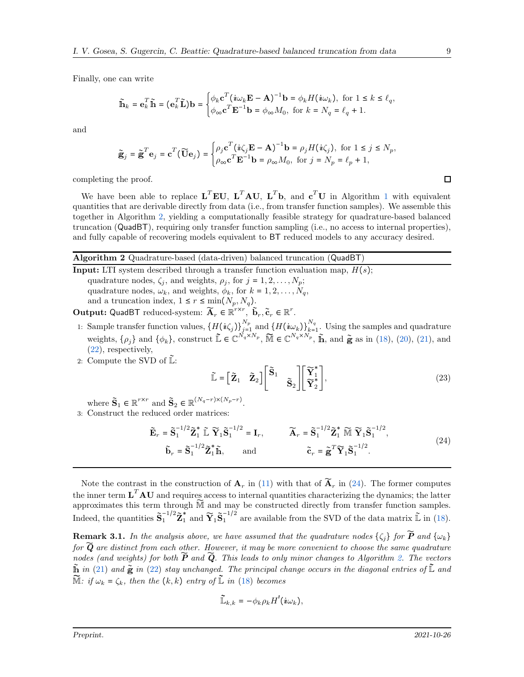Finally, one can write

$$
\widetilde{\mathbf{h}}_k = \mathbf{e}_k^T \widetilde{\mathbf{h}} = (\mathbf{e}_k^T \widetilde{\mathbf{L}}) \mathbf{b} = \begin{cases} \phi_k \mathbf{c}^T (\boldsymbol{i} \omega_k \mathbf{E} - \mathbf{A})^{-1} \mathbf{b} = \phi_k H (\boldsymbol{i} \omega_k), \text{ for } 1 \le k \le \ell_q, \\ \phi_{\infty} \mathbf{c}^T \mathbf{E}^{-1} \mathbf{b} = \phi_{\infty} M_0, \text{ for } k = N_q = \ell_q + 1. \end{cases}
$$

and

$$
\widetilde{\mathbf{g}}_j = \widetilde{\mathbf{g}}^T \mathbf{e}_j = \mathbf{c}^T (\widetilde{\mathbf{U}} \mathbf{e}_j) = \begin{cases} \rho_j \mathbf{c}^T (\dot{\mathbf{\imath}} \zeta_j \mathbf{E} - \mathbf{A})^{-1} \mathbf{b} = \rho_j H (\dot{\mathbf{\imath}} \zeta_j), \text{ for } 1 \le j \le N_p, \\ \rho_{\infty} \mathbf{c}^T \mathbf{E}^{-1} \mathbf{b} = \rho_{\infty} M_0, \text{ for } j = N_p = \ell_p + 1, \end{cases}
$$

completing the proof.

We have been able to replace  $L^T E U$ ,  $L^T A U$ ,  $L^T b$ , and  $c^T U$  in Algorithm [1](#page-2-2) with equivalent quantities that are derivable directly from data (i.e., from transfer function samples). We assemble this together in Algorithm [2,](#page-8-0) yielding a computationally feasible strategy for quadrature-based balanced truncation (QuadBT), requiring only transfer function sampling (i.e., no access to internal properties), and fully capable of recovering models equivalent to BT reduced models to any accuracy desired.

#### <span id="page-8-0"></span>Algorithm 2 Quadrature-based (data-driven) balanced truncation (QuadBT)

**Input:** LTI system described through a transfer function evaluation map,  $H(s)$ ; quadrature nodes,  $\zeta_j$ , and weights,  $\rho_j$ , for  $j = 1, 2, ..., N_p$ ; quadrature nodes,  $\omega_k$ , and weights,  $\phi_k$ , for  $k = 1, 2, \ldots, N_q$ , and a truncation index,  $1 \leq r \leq \min(N_p, N_q)$ .

Output: QuadBT reduced-system:  $\widetilde{A}_r \in \mathbb{R}^{r \times r}$ ,  $\widetilde{b}_r, \widetilde{c}_r \in \mathbb{R}^r$ .

- 1: Sample transfer function values,  $\{H(i\zeta_j)\}_{j=1}^{N_p}$  and  $\{H(i\omega_k)\}_{k=1}^{N_q}$ . Using the samples and quadrature weights,  $\{\rho_j\}$  and  $\{\phi_k\}$ , construct  $\tilde{\mathbb{L}} \in \mathbb{C}^{\tilde{N}_q \times N_p}$ ,  $\tilde{\mathbb{M}} \in \mathbb{C}^{N_q \times N_p}$ ,  $\tilde{\mathbb{h}}$ , and  $\tilde{\mathbf{g}}$  as in [\(18\)](#page-5-2), [\(20\)](#page-7-0), [\(21\)](#page-7-1), and [\(22\)](#page-7-1), respectively,
- 2: Compute the SVD of  $\mathbb{L}$ :

<span id="page-8-2"></span><span id="page-8-1"></span>
$$
\widetilde{\mathbb{L}} = \begin{bmatrix} \widetilde{\mathbf{Z}}_1 & \widetilde{\mathbf{Z}}_2 \end{bmatrix} \begin{bmatrix} \widetilde{\mathbf{S}}_1 & \\ & \widetilde{\mathbf{S}}_2 \end{bmatrix} \begin{bmatrix} \widetilde{\mathbf{Y}}_1^* \\ \widetilde{\mathbf{Y}}_2^* \end{bmatrix},
$$
\n(23)

where  $\tilde{\mathbf{S}}_1 \in \mathbb{R}^{r \times r}$  and  $\tilde{\mathbf{S}}_2 \in \mathbb{R}^{(N_q - r) \times (N_p - r)}$ .

3: Construct the reduced order matrices:

$$
\widetilde{\mathbf{E}}_r = \widetilde{\mathbf{S}}_1^{-1/2} \widetilde{\mathbf{Z}}_1^* \widetilde{\mathbb{L}} \widetilde{\mathbf{Y}}_1 \widetilde{\mathbf{S}}_1^{-1/2} = \mathbf{I}_r, \qquad \widetilde{\mathbf{A}}_r = \widetilde{\mathbf{S}}_1^{-1/2} \widetilde{\mathbf{Z}}_1^* \widetilde{\mathbb{M}} \widetilde{\mathbf{Y}}_1 \widetilde{\mathbf{S}}_1^{-1/2},
$$
\n
$$
\widetilde{\mathbf{b}}_r = \widetilde{\mathbf{S}}_1^{-1/2} \widetilde{\mathbf{Z}}_1^* \widetilde{\mathbb{M}}, \qquad \text{and} \qquad \qquad \widetilde{\mathbf{c}}_r = \widetilde{\mathbf{g}}^T \widetilde{\mathbf{Y}}_1 \widetilde{\mathbf{S}}_1^{-1/2}.
$$
\n(24)

Note the contrast in the construction of  $A_r$  in [\(11\)](#page-2-10) with that of  $\widetilde{A}_r$  in [\(24\)](#page-8-1). The former computes the inner term  $\mathbf{L}^T \mathbf{A} \mathbf{U}$  and requires access to internal quantities characterizing the dynamics; the latter approximates this term through M̃ and may be constructed directly from transfer function samples. Indeed, the quantities  $\tilde{\mathbf{S}}_1^{-1/2}\tilde{\mathbf{Z}}_1^*$  and  $\tilde{\mathbf{Y}}_1\tilde{\mathbf{S}}_1^{-1/2}$  are available from the SVD of the data matrix  $\tilde{\mathbb{L}}$  in [\(18\)](#page-5-2).

**Remark 3.1.** In the analysis above, we have assumed that the quadrature nodes  $\{\zeta_i\}$  for  $\widetilde{P}$  and  $\{\omega_k\}$ *for*  $\widetilde{Q}$  *are distinct from each other. However, it may be more convenient to choose the same quadrature nodes (and weights) for both*  $\tilde{P}$  *and*  $\tilde{Q}$ *. This leads to only minor changes to Algorithm [2.](#page-8-0) The vectors*  $\tilde{\mathbf{h}}$  *in* [\(21\)](#page-7-1) and  $\tilde{\mathbf{g}}$  *in* [\(22\)](#page-7-1) *stay unchanged. The principal change occurs in the diagonal entries of*  $\tilde{\mathbf{L}}$  *and*  $\widetilde{M}$ *: if*  $\omega_k = \zeta_k$ *, then the*  $(k, k)$  *entry of*  $\widetilde{L}$  *in* [\(18\)](#page-5-2) *becomes* 

$$
\widetilde{\mathbb{L}}_{k,k}=-\phi_k\rho_kH'(\dot{u}\omega_k),
$$

 $\Box$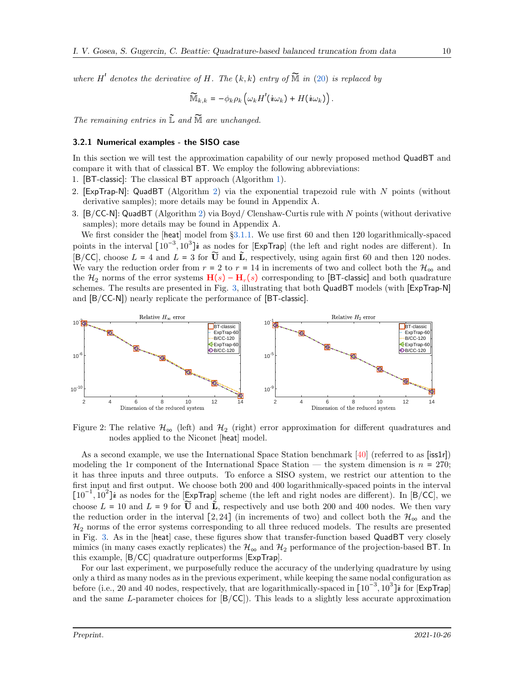*where*  $H'$  *denotes the derivative of*  $H$ *. The*  $(k, k)$  *entry of*  $\widetilde{M}$  *in* [\(20\)](#page-7-0) *is replaced by* 

$$
\widetilde{\mathbb{M}}_{k,k} = -\phi_k \rho_k \left( \omega_k H'(i\omega_k) + H(i\omega_k) \right).
$$

*The remaining entries in* L̃ *and* M̃ *are unchanged.*

#### <span id="page-9-0"></span>3.2.1 Numerical examples - the SISO case

In this section we will test the approximation capability of our newly proposed method QuadBT and compare it with that of classical BT. We employ the following abbreviations:

- 1. [BT-classic]: The classical BT approach (Algorithm [1\)](#page-2-2).
- 2. [ExpTrap-N]: QuadBT (Algorithm [2\)](#page-8-0) via the exponential trapezoid rule with  $N$  points (without derivative samples); more details may be found in Appendix A.
- 3. [B/CC-N]: QuadBT (Algorithm [2\)](#page-8-0) via Boyd/ Clenshaw-Curtis rule with N points (without derivative samples); more details may be found in Appendix A.

We first consider the [heat] model from  $\S 3.1.1$ . We use first 60 and then 120 logarithmically-spaced points in the interval  $[10^{-3}, 10^3]$ **i** as nodes for [ExpTrap] (the left and right nodes are different). In [B/CC], choose  $L = 4$  and  $L = 3$  for  $\tilde{U}$  and  $\tilde{L}$ , respectively, using again first 60 and then 120 nodes. We vary the reduction order from  $r = 2$  to  $r = 14$  in increments of two and collect both the  $\mathcal{H}_{\infty}$  and the  $\mathcal{H}_2$  norms of the error systems  $\mathbf{H}(s) - \mathbf{H}_r(s)$  corresponding to [BT-classic] and both quadrature schemes. The results are presented in Fig. [3,](#page-10-0) illustrating that both QuadBT models (with [ExpTrap-N] and [B/CC-N]) nearly replicate the performance of [BT-classic].



Figure 2: The relative  $\mathcal{H}_{\infty}$  (left) and  $\mathcal{H}_{2}$  (right) error approximation for different quadratures and nodes applied to the Niconet [heat] model.

As a second example, we use the International Space Station benchmark [\[40\]](#page-24-9) (referred to as [iss1r]) modeling the 1r component of the International Space Station — the system dimension is  $n = 270$ ; it has three inputs and three outputs. To enforce a SISO system, we restrict our attention to the first input and first output. We choose both 200 and 400 logarithmically-spaced points in the interval  $[10^{-1}, 10^{2}]$ **i** as nodes for the [ExpTrap] scheme (the left and right nodes are different). In [B/CC], we choose  $L = 10$  and  $L = 9$  for  $\tilde{U}$  and  $\tilde{L}$ , respectively and use both 200 and 400 nodes. We then vary the reduction order in the interval [2, 24] (in increments of two) and collect both the  $\mathcal{H}_{\infty}$  and the  $\mathcal{H}_2$  norms of the error systems corresponding to all three reduced models. The results are presented in Fig. [3.](#page-10-0) As in the [heat] case, these figures show that transfer-function based QuadBT very closely mimics (in many cases exactly replicates) the  $\mathcal{H}_{\infty}$  and  $\mathcal{H}_{2}$  performance of the projection-based BT. In this example, [B/CC] quadrature outperforms [ExpTrap].

For our last experiment, we purposefully reduce the accuracy of the underlying quadrature by using only a third as many nodes as in the previous experiment, while keeping the same nodal configuration as before (i.e., 20 and 40 nodes, respectively, that are logarithmically-spaced in  $[10^{-3}, 10^3]$ **i** for [ExpTrap] and the same L-parameter choices for  $[B/CC]$ ). This leads to a slightly less accurate approximation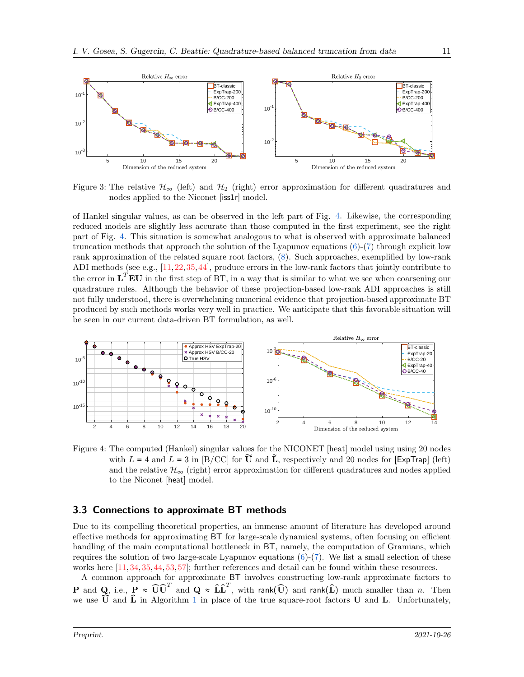<span id="page-10-0"></span>

Figure 3: The relative  $\mathcal{H}_{\infty}$  (left) and  $\mathcal{H}_{2}$  (right) error approximation for different quadratures and nodes applied to the Niconet [iss1r] model.

of Hankel singular values, as can be observed in the left part of Fig. [4.](#page-10-1) Likewise, the corresponding reduced models are slightly less accurate than those computed in the first experiment, see the right part of Fig. [4.](#page-10-1) This situation is somewhat analogous to what is observed with approximate balanced truncation methods that approach the solution of the Lyapunov equations [\(6\)](#page-2-1)-[\(7\)](#page-2-0) through explicit low rank approximation of the related square root factors, [\(8\)](#page-2-4). Such approaches, exemplified by low-rank ADI methods (see e.g., [\[11,](#page-22-5)[22,](#page-23-2)[35,](#page-24-4)[44\]](#page-24-10), produce errors in the low-rank factors that jointly contribute to the error in  $\mathbf{L}^T \mathbf{E} \mathbf{U}$  in the first step of BT, in a way that is similar to what we see when coarsening our quadrature rules. Although the behavior of these projection-based low-rank ADI approaches is still not fully understood, there is overwhelming numerical evidence that projection-based approximate BT produced by such methods works very well in practice. We anticipate that this favorable situation will be seen in our current data-driven BT formulation, as well.

<span id="page-10-1"></span>

Figure 4: The computed (Hankel) singular values for the NICONET [heat] model using using 20 nodes with  $L = 4$  and  $L = 3$  in [B/CC] for  $\tilde{U}$  and  $\tilde{L}$ , respectively and 20 nodes for [ExpTrap] (left) and the relative  $\mathcal{H}_{\infty}$  (right) error approximation for different quadratures and nodes applied to the Niconet [heat] model.

#### 3.3 Connections to approximate BT methods

Due to its compelling theoretical properties, an immense amount of literature has developed around effective methods for approximating BT for large-scale dynamical systems, often focusing on efficient handling of the main computational bottleneck in BT, namely, the computation of Gramians, which requires the solution of two large-scale Lyapunov equations  $(6)-(7)$  $(6)-(7)$ . We list a small selection of these works here [\[11,](#page-22-5) [34,](#page-24-3) [35,](#page-24-4) [44,](#page-24-10) [53,](#page-25-1) [57\]](#page-25-3); further references and detail can be found within these resources.

A common approach for approximate BT involves constructing low-rank approximate factors to  ${\bf P}$  and  ${\bf Q}$ , i.e.,  ${\bf P} \approx \widehat{\bf U} \widehat{\bf U}^T$  and  ${\bf Q} \approx \widehat{\bf L} \widehat{\bf L}^T$ , with rank $(\widehat{\bf U})$  and rank $(\widehat{\bf L})$  much smaller than  $n$ . Then we use  $U$  and  $L$  in Algorithm [1](#page-2-2) in place of the true square-root factors  $U$  and  $L$ . Unfortunately,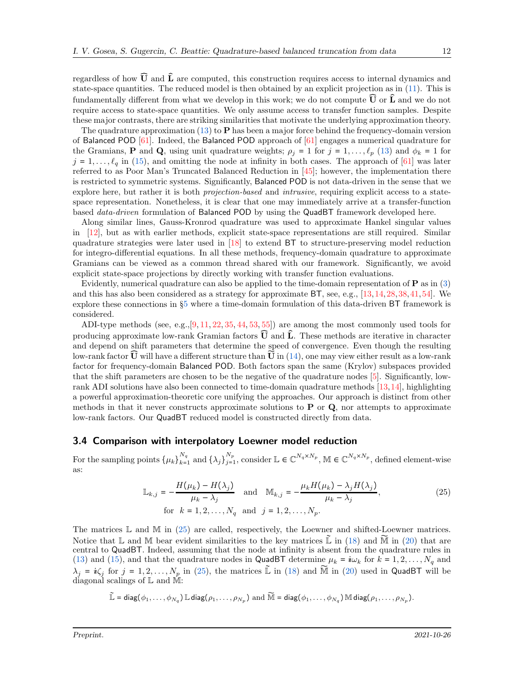regardless of how  $\hat{U}$  and  $\hat{L}$  are computed, this construction requires access to internal dynamics and state-space quantities. The reduced model is then obtained by an explicit projection as in [\(11\)](#page-2-10). This is fundamentally different from what we develop in this work; we do not compute  $\widehat{U}$  or  $\widehat{L}$  and we do not require access to state-space quantities. We only assume access to transfer function samples. Despite these major contrasts, there are striking similarities that motivate the underlying approximation theory.

The quadrature approximation [\(13\)](#page-3-2) to  $P$  has been a major force behind the frequency-domain version of Balanced POD [\[61\]](#page-25-2). Indeed, the Balanced POD approach of [\[61\]](#page-25-2) engages a numerical quadrature for the Gramians, **P** and **Q**, using unit quadrature weights;  $\rho_j = 1$  for  $j = 1, \ldots, \ell_p$  [\(13\)](#page-3-2) and  $\phi_k = 1$  for  $j = 1, \ldots, \ell_q$  in [\(15\)](#page-4-0), and omitting the node at infinity in both cases. The approach of [\[61\]](#page-25-2) was later referred to as Poor Man's Truncated Balanced Reduction in [\[45\]](#page-24-11); however, the implementation there is restricted to symmetric systems. Significantly, Balanced POD is not data-driven in the sense that we explore here, but rather it is both *projection-based* and *intrusive*, requiring explicit access to a statespace representation. Nonetheless, it is clear that one may immediately arrive at a transfer-function based *data-driven* formulation of Balanced POD by using the QuadBT framework developed here.

Along similar lines, Gauss-Kronrod quadrature was used to approximate Hankel singular values in [\[12\]](#page-23-3), but as with earlier methods, explicit state-space representations are still required. Similar quadrature strategies were later used in [\[18\]](#page-23-4) to extend BT to structure-preserving model reduction for integro-differential equations. In all these methods, frequency-domain quadrature to approximate Gramians can be viewed as a common thread shared with our framework. Significantly, we avoid explicit state-space projections by directly working with transfer function evaluations.

Evidently, numerical quadrature can also be applied to the time-domain representation of P as in [\(3\)](#page-1-2) and this has also been considered as a strategy for approximate BT, see, e.g., [\[13,](#page-23-5)[14,](#page-23-6)[28,](#page-23-7)[38,](#page-24-1)[41,](#page-24-12)[54\]](#page-25-6). We explore these connections in §[5](#page-18-0) where a time-domain formulation of this data-driven BT framework is considered.

ADI-type methods (see, e.g.,  $[9, 11, 22, 35, 44, 53, 55]$  $[9, 11, 22, 35, 44, 53, 55]$  $[9, 11, 22, 35, 44, 53, 55]$  $[9, 11, 22, 35, 44, 53, 55]$  $[9, 11, 22, 35, 44, 53, 55]$  $[9, 11, 22, 35, 44, 53, 55]$  $[9, 11, 22, 35, 44, 53, 55]$  $[9, 11, 22, 35, 44, 53, 55]$  $[9, 11, 22, 35, 44, 53, 55]$  $[9, 11, 22, 35, 44, 53, 55]$  $[9, 11, 22, 35, 44, 53, 55]$  $[9, 11, 22, 35, 44, 53, 55]$  $[9, 11, 22, 35, 44, 53, 55]$ ) are among the most commonly used tools for producing approximate low-rank Gramian factors  $\overline{U}$  and  $\hat{L}$ . These methods are iterative in character and depend on shift parameters that determine the speed of convergence. Even though the resulting low-rank factor  $\mathbf{\bar{U}}$  will have a different structure than  $\mathbf{\bar{U}}$  in [\(14\)](#page-4-1), one may view either result as a low-rank factor for frequency-domain Balanced POD. Both factors span the same (Krylov) subspaces provided that the shift parameters are chosen to be the negative of the quadrature nodes [\[5\]](#page-22-7). Significantly, lowrank ADI solutions have also been connected to time-domain quadrature methods [\[13,](#page-23-5)[14\]](#page-23-6), highlighting a powerful approximation-theoretic core unifying the approaches. Our approach is distinct from other methods in that it never constructs approximate solutions to  $P$  or  $Q$ , nor attempts to approximate low-rank factors. Our QuadBT reduced model is constructed directly from data.

#### 3.4 Comparison with interpolatory Loewner model reduction

For the sampling points  $\{\mu_k\}_{k=1}^{N_q}$  and  $\{\lambda_j\}_{j=1}^{N_p}$ , consider  $\mathbb{L} \in \mathbb{C}^{N_q \times N_p}$ ,  $\mathbb{M} \in \mathbb{C}^{N_q \times N_p}$ , defined element-wise as:

<span id="page-11-0"></span>
$$
\mathbb{L}_{k,j} = -\frac{H(\mu_k) - H(\lambda_j)}{\mu_k - \lambda_j} \quad \text{and} \quad \mathbb{M}_{k,j} = -\frac{\mu_k H(\mu_k) - \lambda_j H(\lambda_j)}{\mu_k - \lambda_j},
$$
\n
$$
\text{for } k = 1, 2, \dots, N_q \text{ and } j = 1, 2, \dots, N_p. \tag{25}
$$

The matrices  $\mathbb L$  and  $\mathbb M$  in [\(25\)](#page-11-0) are called, respectively, the Loewner and shifted-Loewner matrices. Notice that L and M bear evident similarities to the key matrices  $\mathbb{\tilde{L}}$  in [\(18\)](#page-5-2) and  $\mathbb{\tilde{M}}$  in [\(20\)](#page-7-0) that are central to QuadBT. Indeed, assuming that the node at infinity is absent from the quadrature rules in [\(13\)](#page-3-2) and [\(15\)](#page-4-0), and that the quadrature nodes in QuadBT determine  $\mu_k = i\omega_k$  for  $k = 1, 2, ..., N_q$  and  $\lambda_j = i \zeta_j$  for  $j = 1, 2, ..., N_p$  in [\(25\)](#page-11-0), the matrices  $\tilde{\mathbb{L}}$  in [\(18\)](#page-5-2) and  $\tilde{\mathbb{M}}$  in [\(20\)](#page-7-0) used in QuadBT will be diagonal scalings of L and M:

$$
\widetilde{\mathbb{L}} = \text{diag}(\phi_1, \dots, \phi_{N_q}) \mathbb{L} \text{diag}(\rho_1, \dots, \rho_{N_p}) \text{ and } \widetilde{\mathbb{M}} = \text{diag}(\phi_1, \dots, \phi_{N_q}) \mathbb{M} \text{diag}(\rho_1, \dots, \rho_{N_p}).
$$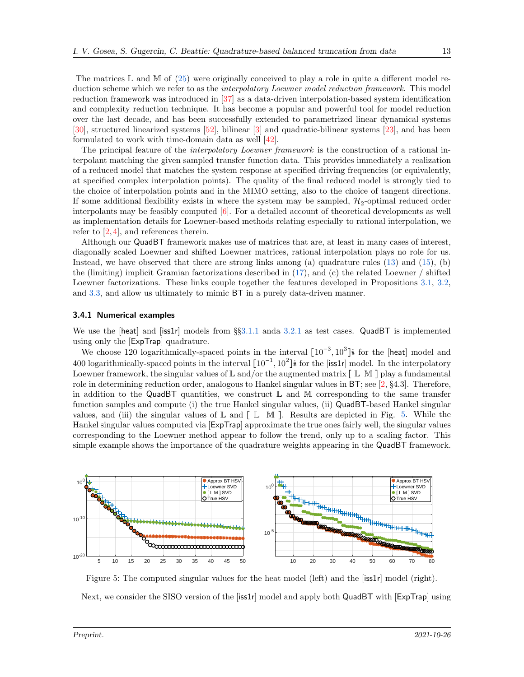The matrices  $\mathbb L$  and  $\mathbb M$  of [\(25\)](#page-11-0) were originally conceived to play a role in quite a different model reduction scheme which we refer to as the *interpolatory Loewner model reduction framework*. This model reduction framework was introduced in [\[37\]](#page-24-13) as a data-driven interpolation-based system identification and complexity reduction technique. It has become a popular and powerful tool for model reduction over the last decade, and has been successfully extended to parametrized linear dynamical systems [\[30\]](#page-23-8), structured linearized systems [\[52\]](#page-25-8), bilinear [\[3\]](#page-22-9) and quadratic-bilinear systems [\[23\]](#page-23-9), and has been formulated to work with time-domain data as well [\[42\]](#page-24-14).

The principal feature of the *interpolatory Loewner framework* is the construction of a rational interpolant matching the given sampled transfer function data. This provides immediately a realization of a reduced model that matches the system response at specified driving frequencies (or equivalently, at specified complex interpolation points). The quality of the final reduced model is strongly tied to the choice of interpolation points and in the MIMO setting, also to the choice of tangent directions. If some additional flexibility exists in where the system may be sampled,  $\mathcal{H}_2$ -optimal reduced order interpolants may be feasibly computed [\[6\]](#page-22-10). For a detailed account of theoretical developments as well as implementation details for Loewner-based methods relating especially to rational interpolation, we refer to [\[2,](#page-22-1) [4\]](#page-22-11), and references therein.

Although our QuadBT framework makes use of matrices that are, at least in many cases of interest, diagonally scaled Loewner and shifted Loewner matrices, rational interpolation plays no role for us. Instead, we have observed that there are strong links among (a) quadrature rules [\(13\)](#page-3-2) and [\(15\)](#page-4-0), (b) the (limiting) implicit Gramian factorizations described in [\(17\)](#page-4-3), and (c) the related Loewner / shifted Loewner factorizations. These links couple together the features developed in Propositions [3.1,](#page-5-1) [3.2,](#page-5-0) and [3.3,](#page-7-2) and allow us ultimately to mimic BT in a purely data-driven manner.

#### 3.4.1 Numerical examples

We use the [heat] and [iss1r] models from  $\S 3.1.1$  $\S 3.1.1$  and  $\S 3.2.1$  $\S 3.2.1$  as test cases. QuadBT is implemented using only the [ExpTrap] quadrature.

We choose 120 logarithmically-spaced points in the interval  $[10^{-3}, 10^3]$ **i** for the [heat] model and 400 logarithmically-spaced points in the interval  $[10^{-1}, 10^2]$ *i* for the [iss1r] model. In the interpolatory Loewner framework, the singular values of  $\mathbb L$  and/or the augmented matrix  $\lceil \mathbb L \mathbb M \rceil$  play a fundamental role in determining reduction order, analogous to Hankel singular values in BT; see [\[2,](#page-22-1) §4.3]. Therefore, in addition to the QuadBT quantities, we construct  $\mathbb L$  and  $\mathbb M$  corresponding to the same transfer function samples and compute (i) the true Hankel singular values, (ii) QuadBT-based Hankel singular values, and (iii) the singular values of  $\mathbb L$  and  $\lceil \mathbb L \mathbb M \rceil$ . Results are depicted in Fig. [5.](#page-12-0) While the Hankel singular values computed via [ExpTrap] approximate the true ones fairly well, the singular values corresponding to the Loewner method appear to follow the trend, only up to a scaling factor. This simple example shows the importance of the quadrature weights appearing in the QuadBT framework.

<span id="page-12-0"></span>

Figure 5: The computed singular values for the heat model (left) and the [iss1r] model (right). Next, we consider the SISO version of the  $[iss1r]$  model and apply both QuadBT with  $[ExpTrap]$  using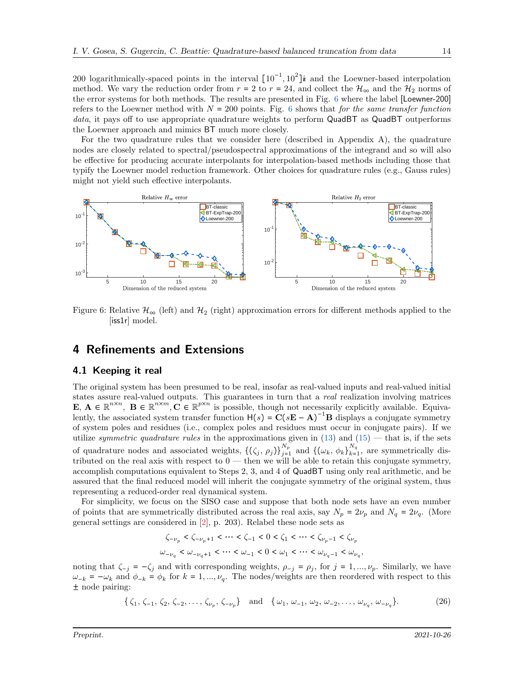200 logarithmically-spaced points in the interval  $[10^{-1}, 10^2]$  is and the Loewner-based interpolation method. We vary the reduction order from  $r = 2$  to  $r = 24$ , and collect the  $\mathcal{H}_{\infty}$  and the  $\mathcal{H}_2$  norms of the error systems for both methods. The results are presented in Fig. [6](#page-13-2) where the label [Loewner-200] refers to the Loewner method with  $N = 200$  points. Fig. [6](#page-13-2) shows that *for the same transfer function* data, it pays off to use appropriate quadrature weights to perform QuadBT as QuadBT outperforms the Loewner approach and mimics BT much more closely.

For the two quadrature rules that we consider here (described in Appendix A), the quadrature nodes are closely related to spectral/pseudospectral approximations of the integrand and so will also be effective for producing accurate interpolants for interpolation-based methods including those that typify the Loewner model reduction framework. Other choices for quadrature rules (e.g., Gauss rules) might not yield such effective interpolants.

<span id="page-13-2"></span>

Figure 6: Relative  $\mathcal{H}_{\infty}$  (left) and  $\mathcal{H}_{2}$  (right) approximation errors for different methods applied to the [iss1r] model.

### <span id="page-13-1"></span><span id="page-13-0"></span>4 Refinements and Extensions

#### 4.1 Keeping it real

The original system has been presumed to be real, insofar as real-valued inputs and real-valued initial states assure real-valued outputs. This guarantees in turn that a *real* realization involving matrices  $\mathbf{E}, \mathbf{A} \in \mathbb{R}^{n \times n}, \mathbf{B} \in \mathbb{R}^{n \times m}, \mathbf{C} \in \mathbb{R}^{p \times n}$  is possible, though not necessarily explicitly available. Equivalently, the associated system transfer function  $H(s) = C(sE - A)^{-1}B$  displays a conjugate symmetry of system poles and residues (i.e., complex poles and residues must occur in conjugate pairs). If we utilize *symmetric quadrature rules* in the approximations given in  $(13)$  and  $(15)$  — that is, if the sets of quadrature nodes and associated weights,  $\{(\zeta_j, \rho_j)\}_{j=1}^{N_p}$  and  $\{(\omega_k, \phi_k)\}_{k=1}^{N_q}$ , are symmetrically distributed on the real axis with respect to  $0$  — then we will be able to retain this conjugate symmetry, accomplish computations equivalent to Steps 2, 3, and 4 of QuadBT using only real arithmetic, and be assured that the final reduced model will inherit the conjugate symmetry of the original system, thus representing a reduced-order real dynamical system.

For simplicity, we focus on the SISO case and suppose that both node sets have an even number of points that are symmetrically distributed across the real axis, say  $N_p = 2\nu_p$  and  $N_q = 2\nu_q$ . (More general settings are considered in [\[2\]](#page-22-1), p. 203). Relabel these node sets as

$$
\begin{aligned} \zeta_{-\nu_p}<\zeta_{-\nu_p+1}<\cdots<\zeta_{-1}<0<\zeta_1<\cdots<\zeta_{\nu_p-1}<\zeta_{\nu_p}\\ \omega_{-\nu_q}<\omega_{-\nu_q+1}<\cdots<\omega_{-1}<0<\omega_1<\cdots<\omega_{\nu_q-1}<\omega_{\nu_q}, \end{aligned}
$$

noting that  $\zeta_{-j} = -\zeta_j$  and with corresponding weights,  $\rho_{-j} = \rho_j$ , for  $j = 1, ..., \nu_p$ . Similarly, we have  $\omega_{-k} = -\omega_k$  and  $\phi_{-k} = \phi_k$  for  $k = 1, ..., \nu_q$ . The nodes/weights are then reordered with respect to this ± node pairing:

> <span id="page-13-3"></span> $\{\zeta_1, \zeta_{-1}, \zeta_2, \zeta_{-2}, \ldots, \zeta_{\nu_p}, \zeta_{-\nu_p}\}\$ and  $\{\omega_1, \omega_{-1}, \omega_2, \omega_{-2}, \ldots, \omega_{\nu_q}, \omega_{-\nu_q}\}$  $(26)$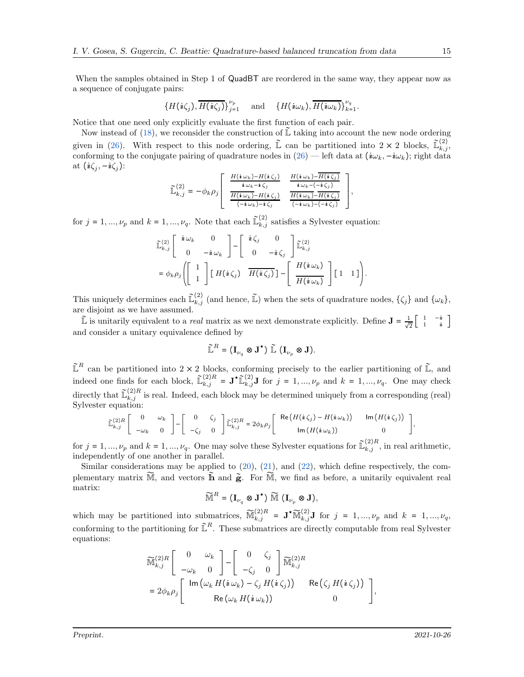When the samples obtained in Step 1 of QuadBT are reordered in the same way, they appear now as a sequence of conjugate pairs:

$$
\{H(i\zeta_j),\overline{H(i\zeta_j)}\}_{j=1}^{\nu_p} \quad \text{and} \quad \{H(i\omega_k),\overline{H(i\omega_k)}\}_{k=1}^{\nu_q}.
$$

Notice that one need only explicitly evaluate the first function of each pair.

Now instead of [\(18\)](#page-5-2), we reconsider the construction of  $\mathbb{L}$  taking into account the new node ordering given in [\(26\)](#page-13-3). With respect to this node ordering,  $\mathbb{L}$  can be partitioned into  $2 \times 2$  blocks,  $\mathbb{L}_{k,j}^{(2)}$ , conforming to the conjugate pairing of quadrature nodes in  $(26)$  — left data at  $(i\omega_k, -i\omega_k)$ ; right data at  $(i\zeta_j, -i\zeta_j)$ :

$$
\widetilde{\mathbb{L}}_{k,j}^{(2)} = -\phi_k \rho_j \left[ \begin{array}{cc} \frac{H(i\,\omega_k) - H(i\,\zeta_j)}{i\,\omega_k - i\,\zeta_j} & \frac{H(i\,\omega_k) - \overline{H(i\,\zeta_j)}}{i\,\omega_k - (-i\,\zeta_j)}\\ \frac{\overline{H(i\,\omega_k)} - H(i\,\zeta_j)}{(-i\,\omega_k) - i\,\zeta_j} & \frac{\overline{H(i\,\omega_k)} - \overline{H(i\,\zeta_j)}}{(-i\,\omega_k) - (-i\,\zeta_j)} \end{array} \right],
$$

for  $j = 1, ..., \nu_p$  and  $k = 1, ..., \nu_q$ . Note that each  $\tilde{\mathbb{L}}_{k,j}^{(2)}$  satisfies a Sylvester equation:

$$
\tilde{\mathbb{L}}_{k,j}^{(2)} \left[ \begin{array}{cc} i \omega_k & 0 \\ 0 & -i \omega_k \end{array} \right] - \left[ \begin{array}{cc} i \zeta_j & 0 \\ 0 & -i \zeta_j \end{array} \right] \tilde{\mathbb{L}}_{k,j}^{(2)} \n= \phi_k \rho_j \left( \left[ \begin{array}{cc} 1 \\ 1 \end{array} \right] \left[ H(i \zeta_j) & \overline{H(i \zeta_j)} \right] - \left[ \begin{array}{cc} H(i \omega_k) \\ \overline{H(i \omega_k)} \end{array} \right] \left[ 1 \quad 1 \right] \right).
$$

This uniquely determines each  $\tilde{\mathbb{L}}_{k,j}^{(2)}$  (and hence,  $\tilde{\mathbb{L}}$ ) when the sets of quadrature nodes,  $\{\zeta_j\}$  and  $\{\omega_k\}$ , are disjoint as we have assumed.

 $\tilde{\mathbb{L}}$  is unitarily equivalent to a *real* matrix as we next demonstrate explicitly. Define  $\mathbf{J} = \frac{1}{\sqrt{2}} \begin{bmatrix} 1 & -\dot{u} \\ 1 & \dot{u} \end{bmatrix}$ and consider a unitary equivalence defined by

$$
\widetilde{\mathbb{L}}^R=(\mathbf{I}_{\nu_q}\otimes \mathbf{J}^{\star})\;\widetilde{\mathbb{L}}\;(\mathbf{I}_{\nu_p}\otimes \mathbf{J}).
$$

 $\mathbb{L}^R$  can be partitioned into 2 × 2 blocks, conforming precisely to the earlier partitioning of  $\mathbb{L}$ , and indeed one finds for each block,  $\tilde{\mathbb{L}}_{k,j}^{(2)R} = \mathbf{J}^{\star} \tilde{\mathbb{L}}_{k,j}^{(2)} \mathbf{J}$  for  $j = 1, ..., \nu_p$  and  $k = 1, ..., \nu_q$ . One may check directly that  $\tilde{\mathbb{L}}_{k,j}^{(2)R}$  is real. Indeed, each block may be determined uniquely from a corresponding (real) Sylvester equation:

$$
\widetilde{\mathbb{L}}_{k,j}^{(2)R} \left[ \begin{array}{cc} 0 & \omega_k \\ -\omega_k & 0 \end{array} \right] - \left[ \begin{array}{cc} 0 & \zeta_j \\ -\zeta_j & 0 \end{array} \right] \widetilde{\mathbb{L}}_{k,j}^{(2)R} = 2\phi_k \rho_j \left[ \begin{array}{cc} \text{Re}\left(H(\dot{\imath}\,\zeta_j) - H(\dot{\imath}\,\omega_k)\right) & \text{Im}\left(H(\dot{\imath}\,\zeta_j)\right) \\ \text{Im}\left(H(\dot{\imath}\,\omega_k)\right) & 0 \end{array} \right],
$$

for  $j = 1, ..., \nu_p$  and  $k = 1, ..., \nu_q$ . One may solve these Sylvester equations for  $\tilde{\mathbb{L}}_{k,j}^{(2)R}$ , in real arithmetic, independently of one another in parallel.

Similar considerations may be applied to  $(20)$ ,  $(21)$ , and  $(22)$ , which define respectively, the complementary matrix  $\widetilde{M}$ , and vectors  $\widetilde{h}$  and  $\widetilde{g}$ . For  $\widetilde{M}$ , we find as before, a unitarily equivalent real matrix:

$$
\widetilde{\mathbb{M}}^R = \left(\mathbf{I}_{\nu_q} \otimes \mathbf{J}^\star\right) \, \widetilde{\mathbb{M}} \, \left(\mathbf{I}_{\nu_p} \otimes \mathbf{J}\right),
$$

which may be partitioned into submatrices,  $\widetilde{\mathbb{M}}_{k,j}^{(2)R} = \mathbf{J}^{\star} \widetilde{\mathbb{M}}_{k,j}^{(2)} \mathbf{J}$  for  $j = 1, ..., \nu_p$  and  $k = 1, ..., \nu_q$ , conforming to the partitioning for  $\mathbb{L}^R$ . These submatrices are directly computable from real Sylvester equations:

$$
\widetilde{\mathbb{M}}_{k,j}^{(2)R} \left[ \begin{array}{cc} 0 & \omega_k \\ -\omega_k & 0 \end{array} \right] - \left[ \begin{array}{cc} 0 & \zeta_j \\ -\zeta_j & 0 \end{array} \right] \widetilde{\mathbb{M}}_{k,j}^{(2)R} \\
= 2\phi_k \rho_j \left[ \begin{array}{cc} \operatorname{Im}(\omega_k H(\dot{\mathbf{z}} \omega_k) - \zeta_j H(\dot{\mathbf{z}} \zeta_j)) & \operatorname{Re}(\zeta_j H(\dot{\mathbf{z}} \zeta_j)) \\ \operatorname{Re}(\omega_k H(\dot{\mathbf{z}} \omega_k)) & 0 \end{array} \right],
$$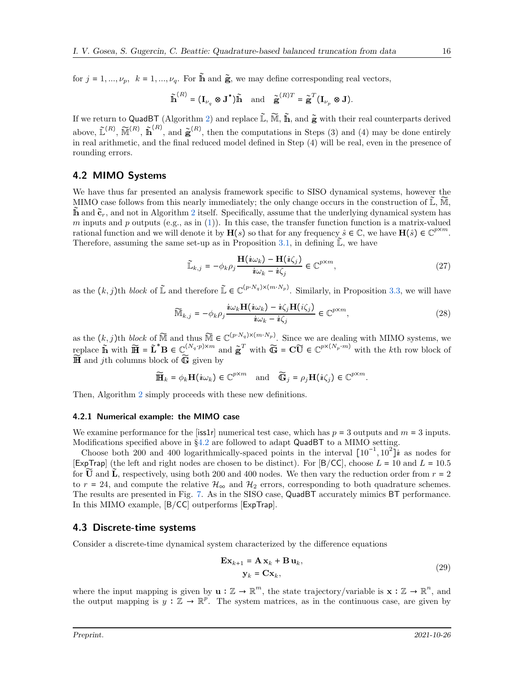for  $j = 1, ..., \nu_p$ ,  $k = 1, ..., \nu_q$ . For  $\tilde{h}$  and  $\tilde{g}$ , we may define corresponding real vectors,

$$
\widetilde{\mathbf{h}}^{(R)} = (\mathbf{I}_{\nu_q} \otimes \mathbf{J}^{\star})\widetilde{\mathbf{h}} \quad \text{and} \quad \widetilde{\mathbf{g}}^{(R)T} = \widetilde{\mathbf{g}}^T (\mathbf{I}_{\nu_p} \otimes \mathbf{J}).
$$

If we return to QuadBT (Algorithm [2\)](#page-8-0) and replace  $\tilde{\mathbb{L}}, \tilde{\mathbb{M}}, \tilde{\mathbb{h}}$ , and  $\tilde{\mathbf{g}}$  with their real counterparts derived above,  $\tilde{\mathbb{L}}^{(R)}$ ,  $\tilde{\mathbb{M}}^{(R)}$ ,  $\tilde{\mathbb{m}}^{(R)}$ , and  $\tilde{\mathbf{g}}^{(R)}$ , then the computations in Steps (3) and (4) may be done entirely in real arithmetic, and the final reduced model defined in Step (4) will be real, even in the presence of rounding errors.

#### <span id="page-15-0"></span>4.2 MIMO Systems

We have thus far presented an analysis framework specific to SISO dynamical systems, however the MIMO case follows from this nearly immediately; the only change occurs in the construction of  $\mathbb{L}$ , M<sup>*j*</sup>,  $\hat{\mathbf{n}}$  and  $\tilde{\mathbf{c}}_r$ , and not in Algorithm [2](#page-8-0) itself. Specifically, assume that the underlying dynamical system has m inputs and p outputs (e.g., as in  $(1)$ ). In this case, the transfer function function is a matrix-valued rational function and we will denote it by  $\mathbf{H}(s)$  so that for any frequency  $\hat{s} \in \mathbb{C}$ , we have  $\mathbf{H}(\hat{s}) \in \mathbb{C}^{p \times m}$ . Therefore, assuming the same set-up as in Proposition [3.1,](#page-5-1) in defining  $\mathbb{L}$ , we have

$$
\widetilde{\mathbb{L}}_{k,j} = -\phi_k \rho_j \frac{\mathbf{H}(i\omega_k) - \mathbf{H}(i\zeta_j)}{i\omega_k - i\zeta_j} \in \mathbb{C}^{p \times m},\tag{27}
$$

as the  $(k, j)$ th *block* of  $\mathbb{L}$  and therefore  $\mathbb{L} \in \mathbb{C}^{(p \cdot N_q) \times (m \cdot N_p)}$ . Similarly, in Proposition [3.3,](#page-7-2) we will have

$$
\widetilde{\mathbb{M}}_{k,j} = -\phi_k \rho_j \frac{i\omega_k \mathbf{H}(i\omega_k) - i\zeta_j \mathbf{H}(i\zeta_j)}{i\omega_k - i\zeta_j} \in \mathbb{C}^{p \times m},\tag{28}
$$

as the  $(k, j)$ th *block* of  $\widetilde{M}$  and thus  $\widetilde{M} \in \mathbb{C}^{(p \cdot N_q) \times (m \cdot N_p)}$ . Since we are dealing with MIMO systems, we replace  $\widetilde{\mathbf{h}}$  with  $\widetilde{\mathbf{H}} = \widetilde{\mathbf{L}}^* \mathbf{B} \in \mathbb{C}^{(N_q \cdot p) \times m}$  and  $\widetilde{\mathbf{g}}^T$  with  $\widetilde{\mathbf{G}} = \mathbf{C}\widetilde{\mathbf{U}} \in \mathbb{C}^{p \times (N_p \cdot m)}$  with the kth row block of  $\widetilde{\mathbb{H}}$  and *i*th columns block of  $\widetilde{\mathbb{G}}$  given by

$$
\widetilde{\mathbf{H}}_k = \phi_k \mathbf{H}(i\omega_k) \in \mathbb{C}^{p \times m} \quad \text{and} \quad \widetilde{\mathbf{G}}_j = \rho_j \mathbf{H}(i\zeta_j) \in \mathbb{C}^{p \times m}.
$$

Then, Algorithm [2](#page-8-0) simply proceeds with these new definitions.

#### 4.2.1 Numerical example: the MIMO case

We examine performance for the [iss1r] numerical test case, which has  $p = 3$  outputs and  $m = 3$  inputs. Modifications specified above in §[4.2](#page-15-0) are followed to adapt QuadBT to a MIMO setting.

Choose both 200 and 400 logarithmically-spaced points in the interval  $[10^{-1}, 10^2]$ **i** as nodes for [ExpTrap] (the left and right nodes are chosen to be distinct). For [B/CC], choose  $L = 10$  and  $L = 10.5$ for  $\widetilde{U}$  and  $\widetilde{L}$ , respectively, using both 200 and 400 nodes. We then vary the reduction order from  $r = 2$ to  $r = 24$ , and compute the relative  $\mathcal{H}_{\infty}$  and  $\mathcal{H}_{2}$  errors, corresponding to both quadrature schemes. The results are presented in Fig. [7.](#page-16-0) As in the SISO case, QuadBT accurately mimics BT performance. In this MIMO example, [B/CC] outperforms [ExpTrap].

#### 4.3 Discrete-time systems

Consider a discrete-time dynamical system characterized by the difference equations

$$
\mathbf{Ex}_{k+1} = \mathbf{A} \mathbf{x}_k + \mathbf{B} \mathbf{u}_k, \n\mathbf{y}_k = \mathbf{Cx}_k,
$$
\n(29)

where the input mapping is given by  $\mathbf{u}: \mathbb{Z} \to \mathbb{R}^m$ , the state trajectory/variable is  $\mathbf{x}: \mathbb{Z} \to \mathbb{R}^n$ , and the output mapping is  $y : \mathbb{Z} \to \mathbb{R}^p$ . The system matrices, as in the continuous case, are given by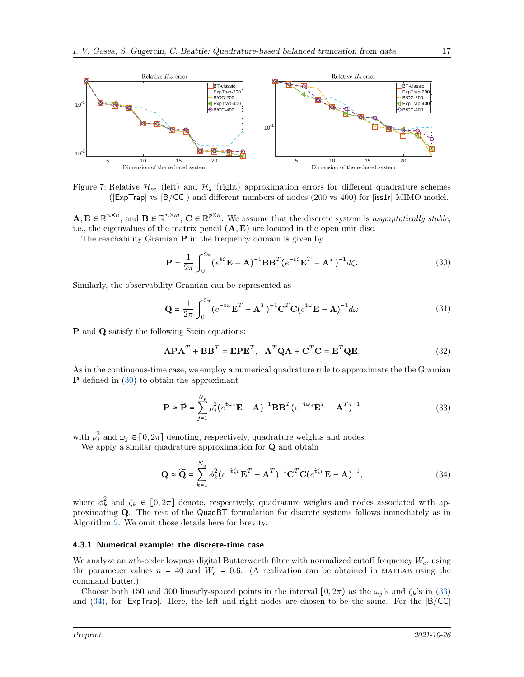<span id="page-16-0"></span>

Figure 7: Relative  $\mathcal{H}_{\infty}$  (left) and  $\mathcal{H}_{2}$  (right) approximation errors for different quadrature schemes ([ExpTrap] vs [B/CC]) and different numbers of nodes (200 vs 400) for [iss1r] MIMO model.

 $\mathbf{A}, \mathbf{E} \in \mathbb{R}^{n \times n}$ , and  $\mathbf{B} \in \mathbb{R}^{n \times m}$ ,  $\mathbf{C} \in \mathbb{R}^{p \times n}$ . We assume that the discrete system is *asymptotically stable*, i.e., the eigenvalues of the matrix pencil  $(A, E)$  are located in the open unit disc.

The reachability Gramian  $P$  in the frequency domain is given by

<span id="page-16-1"></span>
$$
\mathbf{P} = \frac{1}{2\pi} \int_0^{2\pi} (e^{i\zeta} \mathbf{E} - \mathbf{A})^{-1} \mathbf{B} \mathbf{B}^T (e^{-i\zeta} \mathbf{E}^T - \mathbf{A}^T)^{-1} d\zeta.
$$
 (30)

Similarly, the observability Gramian can be represented as

$$
\mathbf{Q} = \frac{1}{2\pi} \int_0^{2\pi} (e^{-i\omega} \mathbf{E}^T - \mathbf{A}^T)^{-1} \mathbf{C}^T \mathbf{C} (e^{i\omega} \mathbf{E} - \mathbf{A})^{-1} d\omega
$$
 (31)

P and Q satisfy the following Stein equations:

$$
\mathbf{APA}^T + \mathbf{BB}^T = \mathbf{EPE}^T, \quad \mathbf{A}^T \mathbf{QA} + \mathbf{C}^T \mathbf{C} = \mathbf{E}^T \mathbf{QE}.
$$
 (32)

As in the continuous-time case, we employ a numerical quadrature rule to approximate the the Gramian P defined in [\(30\)](#page-16-1) to obtain the approximant

<span id="page-16-2"></span>
$$
\mathbf{P} \approx \widetilde{\mathbf{P}} = \sum_{j=1}^{N_p} \rho_j^2 (e^{i\omega_j} \mathbf{E} - \mathbf{A})^{-1} \mathbf{B} \mathbf{B}^T (e^{-i\omega_j} \mathbf{E}^T - \mathbf{A}^T)^{-1}
$$
(33)

with  $\rho_j^2$  and  $\omega_j \in [0, 2\pi]$  denoting, respectively, quadrature weights and nodes.

We apply a similar quadrature approximation for **Q** and obtain

<span id="page-16-3"></span>
$$
\mathbf{Q} \approx \widetilde{\mathbf{Q}} = \sum_{k=1}^{N_q} \phi_k^2 (e^{-i\zeta_k} \mathbf{E}^T - \mathbf{A}^T)^{-1} \mathbf{C}^T \mathbf{C} (e^{i\zeta_k} \mathbf{E} - \mathbf{A})^{-1},
$$
\n(34)

where  $\phi_k^2$  and  $\zeta_k \in [0, 2\pi]$  denote, respectively, quadrature weights and nodes associated with approximating Q. The rest of the QuadBT formulation for discrete systems follows immediately as in Algorithm [2.](#page-8-0) We omit those details here for brevity.

#### 4.3.1 Numerical example: the discrete-time case

We analyze an nth-order lowpass digital Butterworth filter with normalized cutoff frequency  $W_c$ , using the parameter values  $n = 40$  and  $W_c = 0.6$ . (A realization can be obtained in MATLAB using the command butter.)

Choose both 150 and 300 linearly-spaced points in the interval  $[0, 2\pi)$  as the  $\omega_j$ 's and  $\zeta_k$ 's in [\(33\)](#page-16-2) and [\(34\)](#page-16-3), for [ExpTrap]. Here, the left and right nodes are chosen to be the same. For the [B/CC]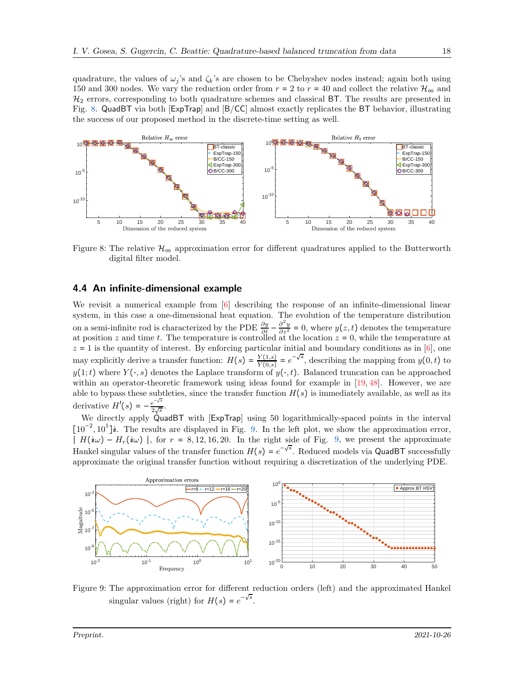quadrature, the values of  $\omega_j$ 's and  $\zeta_k$ 's are chosen to be Chebyshev nodes instead; again both using 150 and 300 nodes. We vary the reduction order from  $r = 2$  to  $r = 40$  and collect the relative  $\mathcal{H}_{\infty}$  and  $\mathcal{H}_2$  errors, corresponding to both quadrature schemes and classical BT. The results are presented in Fig. [8.](#page-17-0) QuadBT via both [ExpTrap] and [B/CC] almost exactly replicates the BT behavior, illustrating the success of our proposed method in the discrete-time setting as well.

<span id="page-17-0"></span>

Figure 8: The relative  $\mathcal{H}_{\infty}$  approximation error for different quadratures applied to the Butterworth digital filter model.

#### 4.4 An infinite-dimensional example

We revisit a numerical example from [\[6\]](#page-22-10) describing the response of an infinite-dimensional linear system, in this case a one-dimensional heat equation. The evolution of the temperature distribution on a semi-infinite rod is characterized by the PDE  $\frac{\partial y}{\partial t} - \frac{\partial^2 y}{\partial z^2} = 0$ , where  $y(z, t)$  denotes the temperature at position z and time t. The temperature is controlled at the location  $z = 0$ , while the temperature at  $z = 1$  is the quantity of interest. By enforcing particular initial and boundary conditions as in [\[6\]](#page-22-10), one may explicitly derive a transfer function:  $H(s) = \frac{Y(1,s)}{Y(0,s)}$  $\frac{Y(1,s)}{Y(0,s)} = e^{-\sqrt{s}}$ , describing the mapping from  $y(0,t)$  to  $y(1;t)$  where  $Y(\cdot,s)$  denotes the Laplace transform of  $y(\cdot,t)$ . Balanced truncation can be approached within an operator-theoretic framework using ideas found for example in [\[19,](#page-23-10) [48\]](#page-24-15). However, we are able to bypass these subtleties, since the transfer function  $H(s)$  is immediately available, as well as its derivative  $H'(s) = -\frac{e^{-\sqrt{s}}}{2\sqrt{s}}$  $rac{e}{2\sqrt{s}}$ .

We directly apply QuadBT with [ExpTrap] using 50 logarithmically-spaced points in the interval [10<sup>-2</sup>, 10<sup>1</sup>]**i**. The results are displayed in Fig. [9.](#page-17-1) In the left plot, we show the approximation error,  $\overline{H}(i\omega) - H_r(i\omega)$ , for  $r = 8, 12, 16, 20$ . In the right side of Fig. [9,](#page-17-1) we present the approximate Hankel singular values of the transfer function  $H(s) = e^{-\sqrt{s}}$ . Reduced models via QuadBT successfully approximate the original transfer function without requiring a discretization of the underlying PDE.

<span id="page-17-1"></span>

Figure 9: The approximation error for different reduction orders (left) and the approximated Hankel singular values (right) for  $H(s) = e^{-\sqrt{s}}$ .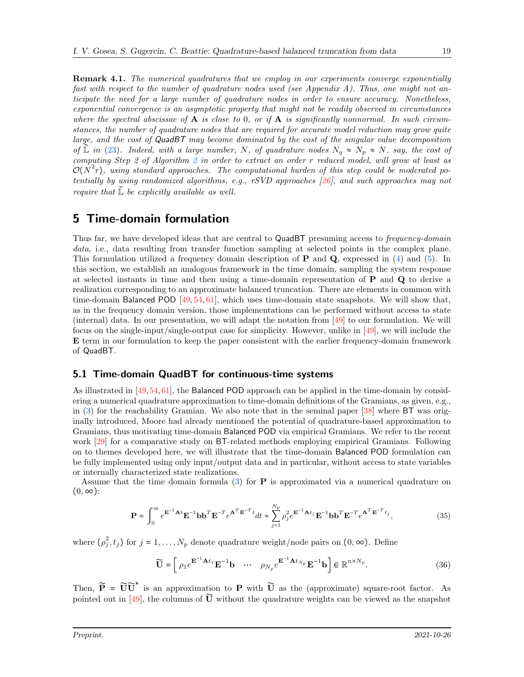Remark 4.1. *The numerical quadratures that we employ in our experiments converge exponentially fast with respect to the number of quadrature nodes used (see Appendix A). Thus, one might not anticipate the need for a large number of quadrature nodes in order to ensure accuracy. Nonetheless, exponential convergence is an asymptotic property that might not be readily observed in circumstances* where the spectral abscissae of  $\bf{A}$  is close to 0, or if  $\bf{A}$  is significantly nonnormal. In such circum*stances, the number of quadrature nodes that are required for accurate model reduction may grow quite large, and the cost of* QuadBT *may become dominated by the cost of the singular value decomposition of*  $\mathbb{L}$  *in* [\(23\)](#page-8-2)*.* Indeed, with a large number, N, of quadrature nodes  $N_q \approx N_p \approx N$ , say, the cost of *computing Step 2 of Algorithm [2](#page-8-0) in order to extract an order* r *reduced model, will grow at least as*  $\mathcal{O}(N^2r)$ , using standard approaches. The computational burden of this step could be moderated po*tentially by using randomized algorithms, e.g., rSVD approaches [\[26\]](#page-23-11), and such approaches may not require that*  $\mathbb{L}$  *be explicitly available as well.* 

## <span id="page-18-0"></span>5 Time-domain formulation

Thus far, we have developed ideas that are central to QuadBT presuming access to *frequency-domain data*, i.e., data resulting from transfer function sampling at selected points in the complex plane. This formulation utilized a frequency domain description of  $P$  and  $Q$ , expressed in [\(4\)](#page-2-5) and [\(5\)](#page-2-6). In this section, we establish an analogous framework in the time domain, sampling the system response at selected instants in time and then using a time-domain representation of P and Q to derive a realization corresponding to an approximate balanced truncation. There are elements in common with time-domain Balanced POD [\[49,](#page-24-8) [54,](#page-25-6) [61\]](#page-25-2), which uses time-domain state snapshots. We will show that, as in the frequency domain version, those implementations can be performed without access to state (internal) data. In our presentation, we will adapt the notation from [\[49\]](#page-24-8) to our formulation. We will focus on the single-input/single-output case for simplicity. However, unlike in [\[49\]](#page-24-8), we will include the E term in our formulation to keep the paper consistent with the earlier frequency-domain framework of QuadBT.

### <span id="page-18-2"></span>5.1 Time-domain QuadBT for continuous-time systems

As illustrated in [\[49,](#page-24-8)[54,](#page-25-6)[61\]](#page-25-2), the Balanced POD approach can be applied in the time-domain by considering a numerical quadrature approximation to time-domain definitions of the Gramians, as given, e.g., in [\(3\)](#page-1-2) for the reachability Gramian. We also note that in the seminal paper [\[38\]](#page-24-1) where BT was originally introduced, Moore had already mentioned the potential of quadrature-based approximation to Gramians, thus motivating time-domain Balanced POD via empirical Gramians. We refer to the recent work [\[29\]](#page-23-12) for a comparative study on BT-related methods employing empirical Gramians. Following on to themes developed here, we will illustrate that the time-domain Balanced POD formulation can be fully implemented using only input/output data and in particular, without access to state variables or internally characterized state realizations.

Assume that the time domain formula  $(3)$  for **P** is approximated via a numerical quadrature on  $(0, \infty)$ :

$$
\mathbf{P} = \int_0^\infty e^{\mathbf{E}^{-1}\mathbf{A}t} \mathbf{E}^{-1} \mathbf{b} \mathbf{b}^T \mathbf{E}^{-T} e^{\mathbf{A}^T \mathbf{E}^{-T}t} dt \approx \sum_{j=1}^{N_p} \rho_j^2 e^{\mathbf{E}^{-1}\mathbf{A}t_j} \mathbf{E}^{-1} \mathbf{b} \mathbf{b}^T \mathbf{E}^{-T} e^{\mathbf{A}^T \mathbf{E}^{-T}t_j},
$$
(35)

where  $(\rho_j^2)$  $j^2$ ,  $t_j$ ) for  $j = 1, ..., N_p$  denote quadrature weight/node pairs on  $(0, \infty)$ . Define

<span id="page-18-1"></span>
$$
\widetilde{\mathbf{U}} = \begin{bmatrix} \rho_1 e^{-1} \mathbf{A}^{t_1} \mathbf{E}^{-1} \mathbf{b} & \cdots & \rho_{N_p} e^{-1} \mathbf{A}^{t_{N_p}} \mathbf{E}^{-1} \mathbf{b} \end{bmatrix} \in \mathbb{R}^{n \times N_p}.
$$
 (36)

Then,  $\widetilde{P} = \widetilde{U} \widetilde{U}^*$  is an approximation to P with  $\widetilde{U}$  as the (approximate) square-root factor. As pointed out in [\[49\]](#page-24-8), the columns of  $\widetilde{U}$  without the quadrature weights can be viewed as the snapshot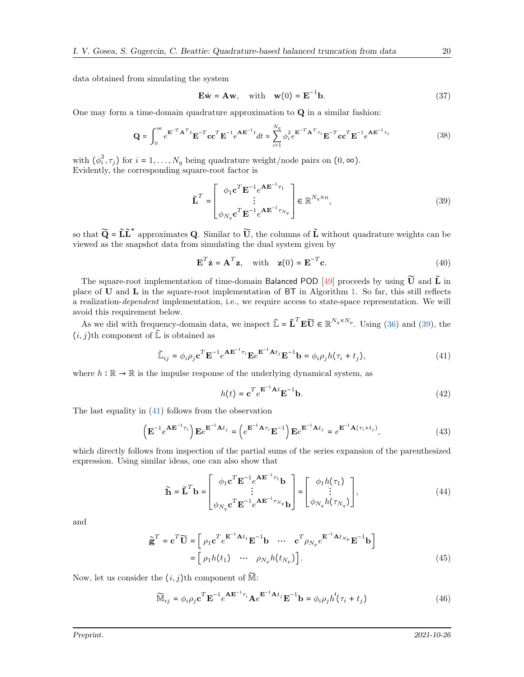data obtained from simulating the system

<span id="page-19-5"></span>
$$
\mathbf{E}\dot{\mathbf{w}} = \mathbf{A}\mathbf{w}, \quad \text{with} \quad \mathbf{w}(0) = \mathbf{E}^{-1}\mathbf{b}.
$$
 (37)

One may form a time-domain quadrature approximation to Q in a similar fashion:

$$
\mathbf{Q} = \int_0^\infty e^{\mathbf{E}^{-T} \mathbf{A}^T t} \mathbf{E}^{-T} \mathbf{c} \mathbf{c}^T \mathbf{E}^{-1} e^{\mathbf{A} \mathbf{E}^{-1} t} dt \approx \sum_{i=1}^{N_q} \phi_i^2 e^{\mathbf{E}^{-T} \mathbf{A}^T \tau_i} \mathbf{E}^{-T} \mathbf{c} \mathbf{c}^T \mathbf{E}^{-1} e^{\mathbf{A} \mathbf{E}^{-1} \tau_i}
$$
(38)

with  $(\phi_i^2)$  $i^2$ ,  $\tau_j$ ) for  $i = 1, ..., N_q$  being quadrature weight/node pairs on  $(0, \infty)$ . Evidently, the corresponding square-root factor is

<span id="page-19-0"></span>
$$
\tilde{\mathbf{L}}^T = \begin{bmatrix} \phi_1 \mathbf{c}^T \mathbf{E}^{-1} e^{\mathbf{A} \mathbf{E}^{-1} \tau_1} \\ \vdots \\ \phi_{N_q} \mathbf{c}^T \mathbf{E}^{-1} e^{\mathbf{A} \mathbf{E}^{-1} \tau_{N_q}} \end{bmatrix} \in \mathbb{R}^{N_q \times n},
$$
\n(39)

so that  $\widetilde{Q} = \widetilde{L} \widetilde{L}^*$  approximates Q. Similar to  $\widetilde{U}$ , the columns of  $\widetilde{L}$  without quadrature weights can be viewed as the snapshot data from simulating the dual system given by

<span id="page-19-6"></span>
$$
\mathbf{E}^T \dot{\mathbf{z}} = \mathbf{A}^T \mathbf{z}, \quad \text{with} \quad \mathbf{z}(0) = \mathbf{E}^{-T} \mathbf{c}.
$$
 (40)

The square-root implementation of time-domain Balanced POD [\[49\]](#page-24-8) proceeds by using  $\widetilde{U}$  and  $\widetilde{L}$  in place of  **and**  $**L**$  **in the square-root implementation of**  $BT$  **in Algorithm [1.](#page-2-2) So far, this still reflects** a realization-*dependent* implementation, i.e., we require access to state-space representation. We will avoid this requirement below.

As we did with frequency-domain data, we inspect  $\mathbf{\tilde{L}} = \mathbf{\tilde{L}}^T \mathbf{E} \mathbf{\tilde{U}} \in \mathbb{R}^{N_q \times N_p}$ . Using [\(36\)](#page-18-1) and [\(39\)](#page-19-0), the  $(i, j)$ th component of  $\tilde{\mathbb{L}}$  is obtained as

$$
\widetilde{\mathbb{L}}_{ij} = \phi_i \rho_j \mathbf{c}^T \mathbf{E}^{-1} e^{\mathbf{A} \mathbf{E}^{-1} \tau_i} \mathbf{E} e^{\mathbf{E}^{-1} \mathbf{A} t_j} \mathbf{E}^{-1} \mathbf{b} = \phi_i \rho_j h(\tau_i + t_j), \tag{41}
$$

where  $h : \mathbb{R} \to \mathbb{R}$  is the impulse response of the underlying dynamical system, as

<span id="page-19-4"></span><span id="page-19-3"></span><span id="page-19-1"></span>
$$
h(t) = \mathbf{c}^T e^{\mathbf{E}^{-1}\mathbf{A}t} \mathbf{E}^{-1} \mathbf{b}.
$$
 (42)

The last equality in [\(41\)](#page-19-1) follows from the observation

$$
\left(\mathbf{E}^{-1}e^{\mathbf{A}\mathbf{E}^{-1}\tau_i}\right)\mathbf{E}e^{\mathbf{E}^{-1}\mathbf{A}t_j} = \left(e^{\mathbf{E}^{-1}\mathbf{A}\tau_i}\mathbf{E}^{-1}\right)\mathbf{E}e^{\mathbf{E}^{-1}\mathbf{A}t_j} = e^{\mathbf{E}^{-1}\mathbf{A}(\tau_i + t_j)},\tag{43}
$$

which directly follows from inspection of the partial sums of the series expansion of the parenthesized expression. Using similar ideas, one can also show that

$$
\widetilde{\mathbf{h}} = \widetilde{\mathbf{L}}^T \mathbf{b} = \begin{bmatrix} \phi_1 \mathbf{c}^T \mathbf{E}^{-1} e^{\mathbf{A} \mathbf{E}^{-1} \tau_1} \mathbf{b} \\ \vdots \\ \phi_{N_q} \mathbf{c}^T \mathbf{E}^{-1} e^{\mathbf{A} \mathbf{E}^{-1} \tau_{N_q}} \mathbf{b} \end{bmatrix} = \begin{bmatrix} \phi_1 h(\tau_1) \\ \vdots \\ \phi_{N_q} h(\tau_{N_q}) \end{bmatrix},
$$
\n(44)

and

$$
\tilde{\mathbf{g}}^T = \mathbf{c}^T \widetilde{\mathbf{U}} = \begin{bmatrix} \rho_1 \mathbf{c}^T e^{\mathbf{E}^{-1} \mathbf{A} t_1} \mathbf{E}^{-1} \mathbf{b} & \cdots & \mathbf{c}^T \rho_{N_p} e^{\mathbf{E}^{-1} \mathbf{A} t_{N_p}} \mathbf{E}^{-1} \mathbf{b} \end{bmatrix}
$$

$$
= \begin{bmatrix} \rho_1 h(t_1) & \cdots & \rho_{N_p} h(t_{N_p}) \end{bmatrix}.
$$
(45)

Now, let us consider the  $(i, j)$ th component of  $\widetilde{\mathbb{M}}$ :

<span id="page-19-2"></span>
$$
\widetilde{\mathbb{M}}_{ij} = \phi_i \rho_j \mathbf{c}^T \mathbf{E}^{-1} e^{\mathbf{A} \mathbf{E}^{-1} \tau_i} \mathbf{A} e^{\mathbf{E}^{-1} \mathbf{A} t_j} \mathbf{E}^{-1} \mathbf{b} = \phi_i \rho_j h'(\tau_i + t_j)
$$
(46)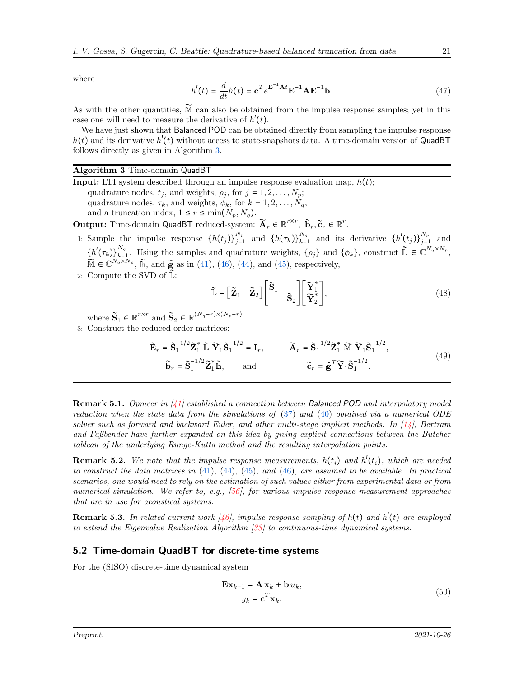where

$$
h'(t) = \frac{d}{dt}h(t) = \mathbf{c}^T e^{\mathbf{E}^{-1}\mathbf{A}t} \mathbf{E}^{-1} \mathbf{A} \mathbf{E}^{-1} \mathbf{b}.
$$
 (47)

As with the other quantities,  $\widetilde{M}$  can also be obtained from the impulse response samples; yet in this case one will need to measure the derivative of  $h'(t)$ .

We have just shown that Balanced POD can be obtained directly from sampling the impulse response  $h(t)$  and its derivative  $h'(t)$  without access to state-snapshots data. A time-domain version of QuadBT follows directly as given in Algorithm [3.](#page-20-0)

#### <span id="page-20-0"></span>Algorithm 3 Time-domain QuadBT

**Input:** LTI system described through an impulse response evaluation map,  $h(t)$ ; quadrature nodes,  $t_j$ , and weights,  $\rho_j$ , for  $j = 1, 2, ..., N_p$ ; quadrature nodes,  $\tau_k$ , and weights,  $\phi_k$ , for  $k = 1, 2, ..., N_q$ , and a truncation index,  $1 \leq r \leq \min(N_p, N_q)$ .

Output: Time-domain QuadBT reduced-system:  $\widetilde{\mathbf{A}}_r \in \mathbb{R}^{r \times r}$ ,  $\widetilde{\mathbf{b}}_r, \widetilde{\mathbf{c}}_r \in \mathbb{R}^r$ .

1: Sample the impulse response  $\{h(t_j)\}_{j=1}^{N_p}$  and  $\{h(\tau_k)\}_{k=1}^{N_q}$  and its derivative  $\{h'(t_j)\}_{j=1}^{N_p}$  and  $\{h'(\tau_k)\}_{k=1}^{N_q}$ . Using the samples and quadrature weights,  $\{\rho_j\}$  and  $\{\phi_k\}$ , construct  $\tilde{\mathbb{L}} \in \mathbb{C}^{N_q \times N_p}$ ,  $\widetilde{\mathbb{M}} \in \mathbb{C}^{N_q \times N_p}$ ,  $\widetilde{\mathbb{h}}$ , and  $\widetilde{\mathbb{g}}$  as in [\(41\)](#page-19-1), [\(46\)](#page-19-2), [\(44\)](#page-19-3), and [\(45\)](#page-19-4), respectively,

2: Compute the SVD of 
$$
\tilde{\mathbb{L}}
$$
:

$$
\widetilde{\mathbb{L}} = \begin{bmatrix} \widetilde{\mathbf{Z}}_1 & \widetilde{\mathbf{Z}}_2 \end{bmatrix} \begin{bmatrix} \widetilde{\mathbf{S}}_1 & \\ & \widetilde{\mathbf{S}}_2 \end{bmatrix} \begin{bmatrix} \widetilde{\mathbf{Y}}_1^* \\ \widetilde{\mathbf{Y}}_2^* \end{bmatrix},
$$
\n(48)

where  $\tilde{\mathbf{S}}_1 \in \mathbb{R}^{r \times r}$  and  $\tilde{\mathbf{S}}_2 \in \mathbb{R}^{(N_q - r) \times (N_p - r)}$ .

3: Construct the reduced order matrices:

$$
\widetilde{\mathbf{E}}_r = \widetilde{\mathbf{S}}_1^{-1/2} \widetilde{\mathbf{Z}}_1^* \widetilde{\mathbb{L}} \widetilde{\mathbf{Y}}_1 \widetilde{\mathbf{S}}_1^{-1/2} = \mathbf{I}_r, \qquad \widetilde{\mathbf{A}}_r = \widetilde{\mathbf{S}}_1^{-1/2} \widetilde{\mathbf{Z}}_1^* \widetilde{\mathbb{M}} \widetilde{\mathbf{Y}}_1 \widetilde{\mathbf{S}}_1^{-1/2},
$$
\n
$$
\widetilde{\mathbf{b}}_r = \widetilde{\mathbf{S}}_1^{-1/2} \widetilde{\mathbf{Z}}_1^* \widetilde{\mathbb{h}}, \qquad \text{and} \qquad \widetilde{\mathbf{c}}_r = \widetilde{\mathbf{g}}^T \widetilde{\mathbf{Y}}_1 \widetilde{\mathbf{S}}_1^{-1/2}.
$$
\n(49)

Remark 5.1. *Opmeer in [\[41\]](#page-24-12) established a connection between* Balanced POD *and interpolatory model reduction when the state data from the simulations of* [\(37\)](#page-19-5) *and* [\(40\)](#page-19-6) *obtained via a numerical ODE solver such as forward and backward Euler, and other multi-stage implicit methods. In [\[14\]](#page-23-6), Bertram and Faßbender have further expanded on this idea by giving explicit connections between the Butcher tableau of the underlying Runge-Kutta method and the resulting interpolation points.*

**Remark 5.2.** We note that the impulse response measurements,  $h(t_i)$  and  $h'(t_i)$ , which are needed *to construct the data matrices in* [\(41\)](#page-19-1)*,* [\(44\)](#page-19-3)*,* [\(45\)](#page-19-4)*, and* [\(46\)](#page-19-2)*, are assumed to be available. In practical scenarios, one would need to rely on the estimation of such values either from experimental data or from numerical simulation. We refer to, e.g., [\[56\]](#page-25-9), for various impulse response measurement approaches that are in use for acoustical systems.*

Remark 5.3. In related current work [\[46\]](#page-24-16), impulse response sampling of  $h(t)$  and  $h'(t)$  are employed *to extend the Eigenvalue Realization Algorithm [\[33\]](#page-24-17) to continuous-time dynamical systems.*

#### 5.2 Time-domain QuadBT for discrete-time systems

For the (SISO) discrete-time dynamical system

<span id="page-20-1"></span>
$$
\mathbf{Ex}_{k+1} = \mathbf{A} \mathbf{x}_k + \mathbf{b} u_k,
$$
  
\n
$$
y_k = \mathbf{c}^T \mathbf{x}_k,
$$
\n(50)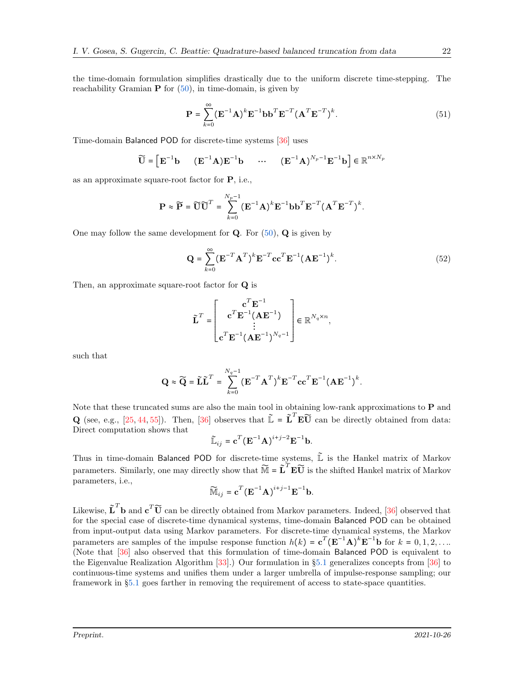the time-domain formulation simplifies drastically due to the uniform discrete time-stepping. The reachability Gramian  $P$  for  $(50)$ , in time-domain, is given by

$$
\mathbf{P} = \sum_{k=0}^{\infty} (\mathbf{E}^{-1} \mathbf{A})^k \mathbf{E}^{-1} \mathbf{b} \mathbf{b}^T \mathbf{E}^{-T} (\mathbf{A}^T \mathbf{E}^{-T})^k.
$$
 (51)

Time-domain Balanced POD for discrete-time systems [\[36\]](#page-24-18) uses

$$
\widetilde{\mathbf{U}} = \begin{bmatrix} \mathbf{E}^{-1} \mathbf{b} & (\mathbf{E}^{-1} \mathbf{A}) \mathbf{E}^{-1} \mathbf{b} & \cdots & (\mathbf{E}^{-1} \mathbf{A})^{N_p - 1} \mathbf{E}^{-1} \mathbf{b} \end{bmatrix} \in \mathbb{R}^{n \times N_p}
$$

as an approximate square-root factor for P, i.e.,

$$
\mathbf{P} \approx \widetilde{\mathbf{P}} = \widetilde{\mathbf{U}} \widetilde{\mathbf{U}}^T = \sum_{k=0}^{N_p - 1} (\mathbf{E}^{-1} \mathbf{A})^k \mathbf{E}^{-1} \mathbf{b} \mathbf{b}^T \mathbf{E}^{-T} (\mathbf{A}^T \mathbf{E}^{-T})^k.
$$

One may follow the same development for  $Q$ . For  $(50)$ ,  $Q$  is given by

$$
\mathbf{Q} = \sum_{k=0}^{\infty} (\mathbf{E}^{-T} \mathbf{A}^T)^k \mathbf{E}^{-T} \mathbf{c} \mathbf{c}^T \mathbf{E}^{-1} (\mathbf{A} \mathbf{E}^{-1})^k.
$$
 (52)

Then, an approximate square-root factor for Q is

$$
\tilde{\mathbf{L}}^T = \begin{bmatrix} \mathbf{c}^T \mathbf{E}^{-1} \\ \mathbf{c}^T \mathbf{E}^{-1} (\mathbf{A} \mathbf{E}^{-1}) \\ \vdots \\ \mathbf{c}^T \mathbf{E}^{-1} (\mathbf{A} \mathbf{E}^{-1})^{N_q - 1} \end{bmatrix} \in \mathbb{R}^{N_q \times n},
$$

such that

$$
\mathbf{Q} \approx \widetilde{\mathbf{Q}} = \widetilde{\mathbf{L}} \widetilde{\mathbf{L}}^T = \sum_{k=0}^{N_q - 1} (\mathbf{E}^{-T} \mathbf{A}^T)^k \mathbf{E}^{-T} \mathbf{c} \mathbf{c}^T \mathbf{E}^{-1} (\mathbf{A} \mathbf{E}^{-1})^k.
$$

Note that these truncated sums are also the main tool in obtaining low-rank approximations to P and **Q** (see, e.g., [\[25,](#page-23-13) [44,](#page-24-10) [55\]](#page-25-7)). Then, [\[36\]](#page-24-18) observes that  $\mathbf{\tilde{L}} = \mathbf{\tilde{L}}^T \mathbf{E} \mathbf{\tilde{U}}$  can be directly obtained from data: Direct computation shows that

$$
\widetilde{\mathbb{L}}_{ij} = \mathbf{c}^T (\mathbf{E}^{-1} \mathbf{A})^{i+j-2} \mathbf{E}^{-1} \mathbf{b}.
$$

Thus in time-domain Balanced POD for discrete-time systems,  $\tilde{L}$  is the Hankel matrix of Markov parameters. Similarly, one may directly show that  $\widetilde{M} = \widetilde{L}^T E \widetilde{U}$  is the shifted Hankel matrix of Markov parameters, i.e.,

$$
\widetilde{\mathbb{M}}_{ij} = \mathbf{c}^T (\mathbf{E}^{-1} \mathbf{A})^{i+j-1} \mathbf{E}^{-1} \mathbf{b}.
$$

Likewise,  $\tilde{\mathbf{L}}^T \mathbf{b}$  and  $\mathbf{c}^T \tilde{\mathbf{U}}$  can be directly obtained from Markov parameters. Indeed, [\[36\]](#page-24-18) observed that for the special case of discrete-time dynamical systems, time-domain Balanced POD can be obtained from input-output data using Markov parameters. For discrete-time dynamical systems, the Markov parameters are samples of the impulse response function  $h(k) = \mathbf{c}^T (\mathbf{E}^{-1} \mathbf{A})^k \mathbf{E}^{-1} \mathbf{b}$  for  $k = 0, 1, 2, ...$ (Note that [\[36\]](#page-24-18) also observed that this formulation of time-domain Balanced POD is equivalent to the Eigenvalue Realization Algorithm [\[33\]](#page-24-17).) Our formulation in §[5.1](#page-18-2) generalizes concepts from [\[36\]](#page-24-18) to continuous-time systems and unifies them under a larger umbrella of impulse-response sampling; our framework in §[5.1](#page-18-2) goes farther in removing the requirement of access to state-space quantities.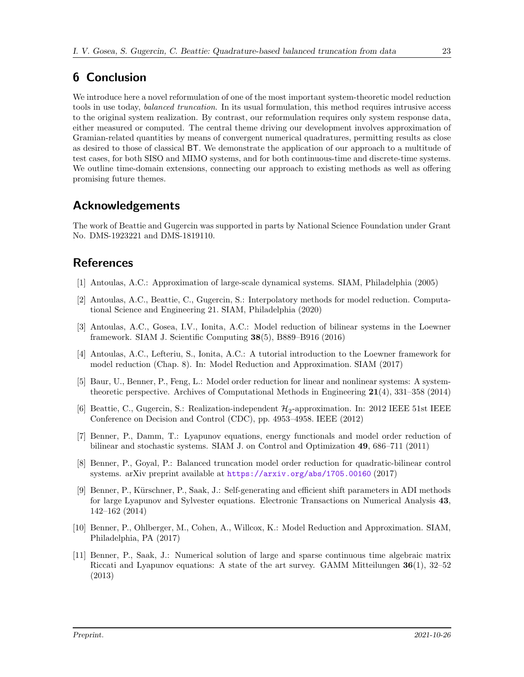## <span id="page-22-6"></span>6 Conclusion

We introduce here a novel reformulation of one of the most important system-theoretic model reduction tools in use today, *balanced truncation*. In its usual formulation, this method requires intrusive access to the original system realization. By contrast, our reformulation requires only system response data, either measured or computed. The central theme driving our development involves approximation of Gramian-related quantities by means of convergent numerical quadratures, permitting results as close as desired to those of classical BT. We demonstrate the application of our approach to a multitude of test cases, for both SISO and MIMO systems, and for both continuous-time and discrete-time systems. We outline time-domain extensions, connecting our approach to existing methods as well as offering promising future themes.

## Acknowledgements

The work of Beattie and Gugercin was supported in parts by National Science Foundation under Grant No. DMS-1923221 and DMS-1819110.

## <span id="page-22-0"></span>References

- <span id="page-22-1"></span>[1] Antoulas, A.C.: Approximation of large-scale dynamical systems. SIAM, Philadelphia (2005)
- [2] Antoulas, A.C., Beattie, C., Gugercin, S.: Interpolatory methods for model reduction. Computational Science and Engineering 21. SIAM, Philadelphia (2020)
- <span id="page-22-9"></span>[3] Antoulas, A.C., Gosea, I.V., Ionita, A.C.: Model reduction of bilinear systems in the Loewner framework. SIAM J. Scientific Computing 38(5), B889–B916 (2016)
- <span id="page-22-11"></span>[4] Antoulas, A.C., Lefteriu, S., Ionita, A.C.: A tutorial introduction to the Loewner framework for model reduction (Chap. 8). In: Model Reduction and Approximation. SIAM (2017)
- <span id="page-22-7"></span>[5] Baur, U., Benner, P., Feng, L.: Model order reduction for linear and nonlinear systems: A systemtheoretic perspective. Archives of Computational Methods in Engineering 21(4), 331–358 (2014)
- <span id="page-22-10"></span>[6] Beattie, C., Gugercin, S.: Realization-independent  $\mathcal{H}_2$ -approximation. In: 2012 IEEE 51st IEEE Conference on Decision and Control (CDC), pp. 4953–4958. IEEE (2012)
- <span id="page-22-3"></span>[7] Benner, P., Damm, T.: Lyapunov equations, energy functionals and model order reduction of bilinear and stochastic systems. SIAM J. on Control and Optimization 49, 686–711 (2011)
- <span id="page-22-4"></span>[8] Benner, P., Goyal, P.: Balanced truncation model order reduction for quadratic-bilinear control systems. arXiv preprint available at <https://arxiv.org/abs/1705.00160> (2017)
- <span id="page-22-8"></span>[9] Benner, P., Kürschner, P., Saak, J.: Self-generating and efficient shift parameters in ADI methods for large Lyapunov and Sylvester equations. Electronic Transactions on Numerical Analysis 43, 142–162 (2014)
- <span id="page-22-2"></span>[10] Benner, P., Ohlberger, M., Cohen, A., Willcox, K.: Model Reduction and Approximation. SIAM, Philadelphia, PA (2017)
- <span id="page-22-5"></span>[11] Benner, P., Saak, J.: Numerical solution of large and sparse continuous time algebraic matrix Riccati and Lyapunov equations: A state of the art survey. GAMM Mitteilungen 36(1), 32–52 (2013)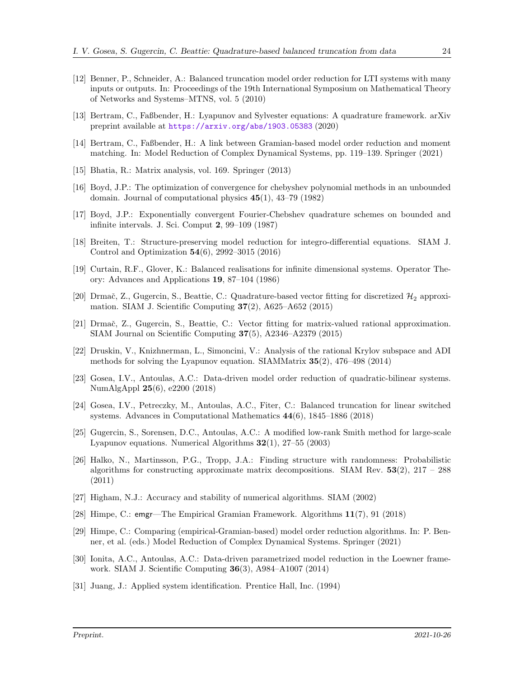- <span id="page-23-3"></span>[12] Benner, P., Schneider, A.: Balanced truncation model order reduction for LTI systems with many inputs or outputs. In: Proceedings of the 19th International Symposium on Mathematical Theory of Networks and Systems–MTNS, vol. 5 (2010)
- <span id="page-23-6"></span><span id="page-23-5"></span>[13] Bertram, C., Faßbender, H.: Lyapunov and Sylvester equations: A quadrature framework. arXiv preprint available at <https://arxiv.org/abs/1903.05383> (2020)
- [14] Bertram, C., Faßbender, H.: A link between Gramian-based model order reduction and moment matching. In: Model Reduction of Complex Dynamical Systems, pp. 119–139. Springer (2021)
- <span id="page-23-19"></span><span id="page-23-16"></span>[15] Bhatia, R.: Matrix analysis, vol. 169. Springer (2013)
- [16] Boyd, J.P.: The optimization of convergence for chebyshev polynomial methods in an unbounded domain. Journal of computational physics 45(1), 43–79 (1982)
- <span id="page-23-14"></span>[17] Boyd, J.P.: Exponentially convergent Fourier-Chebshev quadrature schemes on bounded and infinite intervals. J. Sci. Comput 2, 99–109 (1987)
- <span id="page-23-4"></span>[18] Breiten, T.: Structure-preserving model reduction for integro-differential equations. SIAM J. Control and Optimization 54(6), 2992–3015 (2016)
- <span id="page-23-10"></span>[19] Curtain, R.F., Glover, K.: Balanced realisations for infinite dimensional systems. Operator Theory: Advances and Applications 19, 87–104 (1986)
- <span id="page-23-15"></span>[20] Drmač, Z., Gugercin, S., Beattie, C.: Quadrature-based vector fitting for discretized  $\mathcal{H}_2$  approximation. SIAM J. Scientific Computing  $37(2)$ , A625–A652 (2015)
- <span id="page-23-17"></span>[21] Drmač, Z., Gugercin, S., Beattie, C.: Vector fitting for matrix-valued rational approximation. SIAM Journal on Scientific Computing 37(5), A2346–A2379 (2015)
- <span id="page-23-2"></span>[22] Druskin, V., Knizhnerman, L., Simoncini, V.: Analysis of the rational Krylov subspace and ADI methods for solving the Lyapunov equation. SIAMMatrix 35(2), 476–498 (2014)
- <span id="page-23-9"></span>[23] Gosea, I.V., Antoulas, A.C.: Data-driven model order reduction of quadratic-bilinear systems. NumAlgAppl 25(6), e2200 (2018)
- <span id="page-23-0"></span>[24] Gosea, I.V., Petreczky, M., Antoulas, A.C., Fiter, C.: Balanced truncation for linear switched systems. Advances in Computational Mathematics 44(6), 1845–1886 (2018)
- <span id="page-23-13"></span>[25] Gugercin, S., Sorensen, D.C., Antoulas, A.C.: A modified low-rank Smith method for large-scale Lyapunov equations. Numerical Algorithms 32(1), 27–55 (2003)
- <span id="page-23-11"></span>[26] Halko, N., Martinsson, P.G., Tropp, J.A.: Finding structure with randomness: Probabilistic algorithms for constructing approximate matrix decompositions. SIAM Rev.  $53(2)$ ,  $217 - 288$ (2011)
- <span id="page-23-18"></span><span id="page-23-7"></span>[27] Higham, N.J.: Accuracy and stability of numerical algorithms. SIAM (2002)
- <span id="page-23-12"></span>[28] Himpe, C.: emgr—The Empirical Gramian Framework. Algorithms 11(7), 91 (2018)
- [29] Himpe, C.: Comparing (empirical-Gramian-based) model order reduction algorithms. In: P. Benner, et al. (eds.) Model Reduction of Complex Dynamical Systems. Springer (2021)
- <span id="page-23-8"></span>[30] Ionita, A.C., Antoulas, A.C.: Data-driven parametrized model reduction in the Loewner framework. SIAM J. Scientific Computing 36(3), A984–A1007 (2014)
- <span id="page-23-1"></span>[31] Juang, J.: Applied system identification. Prentice Hall, Inc. (1994)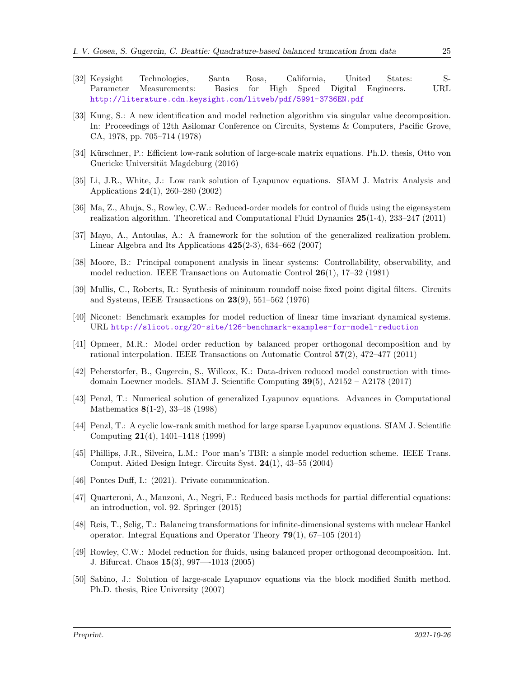- 
- <span id="page-24-7"></span>[32] Keysight Technologies, Santa Rosa, California, United States: S-Parameter Measurements: Basics for High Speed Digital Engineers. URL <http://literature.cdn.keysight.com/litweb/pdf/5991-3736EN.pdf>
- <span id="page-24-17"></span>[33] Kung, S.: A new identification and model reduction algorithm via singular value decomposition. In: Proceedings of 12th Asilomar Conference on Circuits, Systems & Computers, Pacific Grove, CA, 1978, pp. 705–714 (1978)
- <span id="page-24-3"></span>[34] Kürschner, P.: Efficient low-rank solution of large-scale matrix equations. Ph.D. thesis, Otto von Guericke Universität Magdeburg (2016)
- <span id="page-24-4"></span>[35] Li, J.R., White, J.: Low rank solution of Lyapunov equations. SIAM J. Matrix Analysis and Applications 24(1), 260–280 (2002)
- <span id="page-24-18"></span>[36] Ma, Z., Ahuja, S., Rowley, C.W.: Reduced-order models for control of fluids using the eigensystem realization algorithm. Theoretical and Computational Fluid Dynamics 25(1-4), 233–247 (2011)
- <span id="page-24-13"></span>[37] Mayo, A., Antoulas, A.: A framework for the solution of the generalized realization problem. Linear Algebra and Its Applications 425(2-3), 634–662 (2007)
- <span id="page-24-1"></span>[38] Moore, B.: Principal component analysis in linear systems: Controllability, observability, and model reduction. IEEE Transactions on Automatic Control 26(1), 17–32 (1981)
- <span id="page-24-2"></span>[39] Mullis, C., Roberts, R.: Synthesis of minimum roundoff noise fixed point digital filters. Circuits and Systems, IEEE Transactions on 23(9), 551–562 (1976)
- <span id="page-24-12"></span><span id="page-24-9"></span>[40] Niconet: Benchmark examples for model reduction of linear time invariant dynamical systems. URL <http://slicot.org/20-site/126-benchmark-examples-for-model-reduction>
- [41] Opmeer, M.R.: Model order reduction by balanced proper orthogonal decomposition and by rational interpolation. IEEE Transactions on Automatic Control 57(2), 472–477 (2011)
- <span id="page-24-14"></span>[42] Peherstorfer, B., Gugercin, S., Willcox, K.: Data-driven reduced model construction with timedomain Loewner models. SIAM J. Scientific Computing 39(5), A2152 – A2178 (2017)
- <span id="page-24-5"></span>[43] Penzl, T.: Numerical solution of generalized Lyapunov equations. Advances in Computational Mathematics 8(1-2), 33–48 (1998)
- <span id="page-24-10"></span>[44] Penzl, T.: A cyclic low-rank smith method for large sparse Lyapunov equations. SIAM J. Scientific Computing 21(4), 1401–1418 (1999)
- <span id="page-24-11"></span>[45] Phillips, J.R., Silveira, L.M.: Poor man's TBR: a simple model reduction scheme. IEEE Trans. Comput. Aided Design Integr. Circuits Syst. 24(1), 43–55 (2004)
- <span id="page-24-16"></span><span id="page-24-0"></span>[46] Pontes Duff, I.: (2021). Private communication.
- [47] Quarteroni, A., Manzoni, A., Negri, F.: Reduced basis methods for partial differential equations: an introduction, vol. 92. Springer (2015)
- <span id="page-24-15"></span>[48] Reis, T., Selig, T.: Balancing transformations for infinite-dimensional systems with nuclear Hankel operator. Integral Equations and Operator Theory 79(1), 67–105 (2014)
- <span id="page-24-8"></span>[49] Rowley, C.W.: Model reduction for fluids, using balanced proper orthogonal decomposition. Int. J. Bifurcat. Chaos 15(3), 997—-1013 (2005)
- <span id="page-24-6"></span>[50] Sabino, J.: Solution of large-scale Lyapunov equations via the block modified Smith method. Ph.D. thesis, Rice University (2007)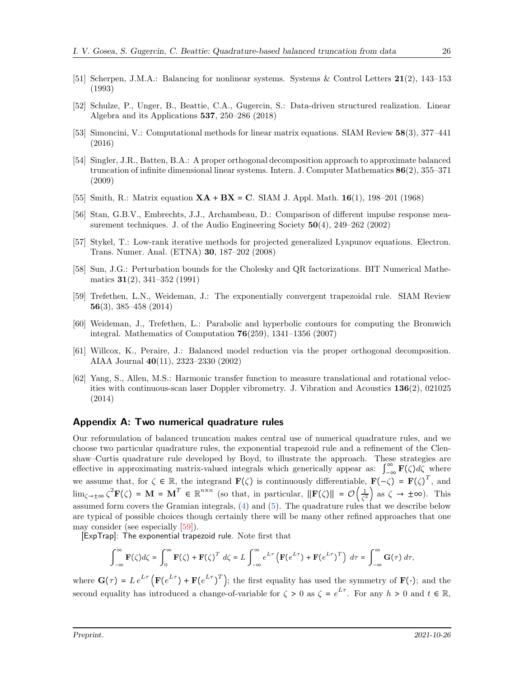- <span id="page-25-8"></span><span id="page-25-0"></span>[51] Scherpen, J.M.A.: Balancing for nonlinear systems. Systems & Control Letters 21(2), 143–153 (1993)
- [52] Schulze, P., Unger, B., Beattie, C.A., Gugercin, S.: Data-driven structured realization. Linear Algebra and its Applications 537, 250–286 (2018)
- <span id="page-25-1"></span>[53] Simoncini, V.: Computational methods for linear matrix equations. SIAM Review 58(3), 377–441 (2016)
- <span id="page-25-6"></span>[54] Singler, J.R., Batten, B.A.: A proper orthogonal decomposition approach to approximate balanced truncation of infinite dimensional linear systems. Intern. J. Computer Mathematics 86(2), 355–371 (2009)
- <span id="page-25-9"></span><span id="page-25-7"></span>[55] Smith, R.: Matrix equation  $XA + BX = C$ . SIAM J. Appl. Math. 16(1), 198–201 (1968)
- [56] Stan, G.B.V., Embrechts, J.J., Archambeau, D.: Comparison of different impulse response measurement techniques. J. of the Audio Engineering Society 50(4), 249–262 (2002)
- <span id="page-25-3"></span>[57] Stykel, T.: Low-rank iterative methods for projected generalized Lyapunov equations. Electron. Trans. Numer. Anal. (ETNA) 30, 187–202 (2008)
- <span id="page-25-11"></span>[58] Sun, J.G.: Perturbation bounds for the Cholesky and QR factorizations. BIT Numerical Mathematics 31(2), 341–352 (1991)
- <span id="page-25-10"></span>[59] Trefethen, L.N., Weideman, J.: The exponentially convergent trapezoidal rule. SIAM Review 56(3), 385–458 (2014)
- <span id="page-25-5"></span>[60] Weideman, J., Trefethen, L.: Parabolic and hyperbolic contours for computing the Bromwich integral. Mathematics of Computation 76(259), 1341–1356 (2007)
- <span id="page-25-2"></span>[61] Willcox, K., Peraire, J.: Balanced model reduction via the proper orthogonal decomposition. AIAA Journal 40(11), 2323–2330 (2002)
- <span id="page-25-4"></span>[62] Yang, S., Allen, M.S.: Harmonic transfer function to measure translational and rotational velocities with continuous-scan laser Doppler vibrometry. J. Vibration and Acoustics 136(2), 021025 (2014)

#### Appendix A: Two numerical quadrature rules

Our reformulation of balanced truncation makes central use of numerical quadrature rules, and we choose two particular quadrature rules, the exponential trapezoid rule and a refinement of the Clenshaw–Curtis quadrature rule developed by Boyd, to illustrate the approach. These strategies are effective in approximating matrix-valued integrals which generically appear as:  $\int_{-\infty}^{\infty} \mathbf{F}(\zeta) d\zeta$  where we assume that, for  $\zeta \in \mathbb{R}$ , the integrand  $\mathbf{F}(\zeta)$  is continuously differentiable,  $\mathbf{F}(-\zeta) = \mathbf{F}(\zeta)^T$ , and  $\lim_{\zeta \to \pm \infty} \zeta^2 \mathbf{F}(\zeta) = \mathbf{M} = \mathbf{M}^T \in \mathbb{R}^{n \times n}$  (so that, in particular,  $\|\mathbf{F}(\zeta)\| = \mathcal{O}\left(\frac{1}{\zeta^2}\right)$  $\frac{1}{\zeta^2}$  as  $\zeta \to \pm \infty$ ). This assumed form covers the Gramian integrals, [\(4\)](#page-2-5) and [\(5\)](#page-2-6). The quadrature rules that we describe below are typical of possible choices though certainly there will be many other refined approaches that one may consider (see especially [\[59\]](#page-25-10)).

[ExpTrap]: The exponential trapezoid rule. Note first that

$$
\int_{-\infty}^{\infty} \mathbf{F}(\zeta) d\zeta = \int_{0}^{\infty} \mathbf{F}(\zeta) + \mathbf{F}(\zeta)^{T} d\zeta = L \int_{-\infty}^{\infty} e^{L\tau} \left( \mathbf{F}(e^{L\tau}) + \mathbf{F}(e^{L\tau})^{T} \right) d\tau = \int_{-\infty}^{\infty} \mathbf{G}(\tau) d\tau,
$$

where  $\mathbf{G}(\tau) = L e^{L\tau} \left( \mathbf{F} (e^{L\tau}) + \mathbf{F} (e^{L\tau})^T \right);$  the first equality has used the symmetry of  $\mathbf{F} (\cdot);$  and the second equality has introduced a change-of-variable for  $\zeta > 0$  as  $\zeta = e^{L\tau}$ . For any  $h > 0$  and  $t \in \mathbb{R}$ ,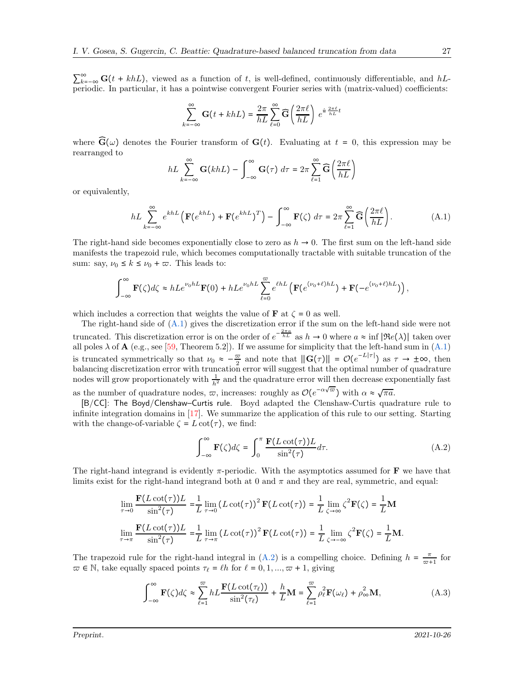$\sum_{k=-\infty}^{\infty} G(t + khL)$ , viewed as a function of t, is well-defined, continuously differentiable, and hLperiodic. In particular, it has a pointwise convergent Fourier series with (matrix-valued) coefficients:

$$
\sum_{k=-\infty}^{\infty} \mathbf{G}(t + khL) = \frac{2\pi}{hL} \sum_{\ell=0}^{\infty} \widehat{\mathbf{G}}\left(\frac{2\pi\ell}{hL}\right) e^{\frac{ih}{hL}t}
$$

where  $\mathbf{\widehat{G}}(\omega)$  denotes the Fourier transform of  $\mathbf{G}(t)$ . Evaluating at  $t = 0$ , this expression may be rearranged to

<span id="page-26-0"></span>
$$
hL\sum_{k=-\infty}^{\infty}\mathbf{G}(khL)-\int_{-\infty}^{\infty}\mathbf{G}(\tau)\,d\tau=2\pi\sum_{\ell=1}^{\infty}\widehat{\mathbf{G}}\left(\frac{2\pi\ell}{hL}\right)
$$

or equivalently,

$$
hL\sum_{k=-\infty}^{\infty} e^{khL} \left( \mathbf{F}(e^{khL}) + \mathbf{F}(e^{khL})^T \right) - \int_{-\infty}^{\infty} \mathbf{F}(\zeta) d\tau = 2\pi \sum_{\ell=1}^{\infty} \widehat{\mathbf{G}} \left( \frac{2\pi\ell}{hL} \right). \tag{A.1}
$$

The right-hand side becomes exponentially close to zero as  $h \to 0$ . The first sum on the left-hand side manifests the trapezoid rule, which becomes computationally tractable with suitable truncation of the sum: say,  $\nu_0 \leq k \leq \nu_0 + \varpi$ . This leads to:

$$
\int_{-\infty}^{\infty} \mathbf{F}(\zeta) d\zeta \approx hLe^{\nu_0 hL} \mathbf{F}(0) + hLe^{\nu_0 hL} \sum_{\ell=0}^{\infty} e^{\ell hL} \left( \mathbf{F}(e^{(\nu_0 + \ell)hL}) + \mathbf{F}(-e^{(\nu_0 + \ell)hL}) \right),
$$

which includes a correction that weights the value of **F** at  $\zeta = 0$  as well.

The right-hand side of [\(A.1\)](#page-26-0) gives the discretization error if the sum on the left-hand side were not truncated. This discretization error is on the order of  $e^{-\frac{2\pi a}{hL}}$  as  $h \to 0$  where  $a \approx \inf |\Re(e(\lambda))|$  taken over all poles  $\lambda$  of  $\mathbf{A}$  (e.g., see [\[59,](#page-25-10) Theorem 5.2]). If we assume for simplicity that the left-hand sum in [\(A.1\)](#page-26-0) is truncated symmetrically so that  $\nu_0 \approx -\frac{\varpi}{2}$  and note that  $\|\mathbf{G}(\tau)\| = \mathcal{O}(e^{-L|\tau|})$  as  $\tau \to \pm \infty$ , then balancing discretization error with truncation error will suggest that the optimal number of quadrature nodes will grow proportionately with  $\frac{1}{h^2}$  and the quadrature error will then decrease exponentially fast as the number of quadrature nodes,  $\varpi$ , increases: roughly as  $\mathcal{O}(e^{-\alpha\sqrt{\varpi}})$  with  $\alpha \approx \sqrt{\pi a}$ .

[B/CC]: The Boyd/Clenshaw–Curtis rule. Boyd adapted the Clenshaw-Curtis quadrature rule to infinite integration domains in [\[17\]](#page-23-14). We summarize the application of this rule to our setting. Starting with the change-of-variable  $\zeta = L \cot(\tau)$ , we find:

<span id="page-26-2"></span><span id="page-26-1"></span>
$$
\int_{-\infty}^{\infty} \mathbf{F}(\zeta) d\zeta = \int_{0}^{\pi} \frac{\mathbf{F}(L \cot(\tau)) L}{\sin^{2}(\tau)} d\tau.
$$
 (A.2)

The right-hand integrand is evidently  $\pi$ -periodic. With the asymptotics assumed for **F** we have that limits exist for the right-hand integrand both at 0 and  $\pi$  and they are real, symmetric, and equal:

$$
\lim_{\tau \to 0} \frac{\mathbf{F}(L \cot(\tau))L}{\sin^2(\tau)} = \frac{1}{L} \lim_{\tau \to 0} (L \cot(\tau))^2 \mathbf{F}(L \cot(\tau)) = \frac{1}{L} \lim_{\zeta \to \infty} \zeta^2 \mathbf{F}(\zeta) = \frac{1}{L} \mathbf{M}
$$
\n
$$
\lim_{\tau \to \pi} \frac{\mathbf{F}(L \cot(\tau))L}{\sin^2(\tau)} = \frac{1}{L} \lim_{\tau \to \pi} (L \cot(\tau))^2 \mathbf{F}(L \cot(\tau)) = \frac{1}{L} \lim_{\zeta \to \infty} \zeta^2 \mathbf{F}(\zeta) = \frac{1}{L} \mathbf{M}.
$$

The trapezoid rule for the right-hand integral in [\(A.2\)](#page-26-1) is a compelling choice. Defining  $h = \frac{\pi}{\varpi + 1}$  for  $\varpi \in \mathbb{N}$ , take equally spaced points  $\tau_{\ell} = \ell h$  for  $\ell = 0, 1, ..., \varpi + 1$ , giving

$$
\int_{-\infty}^{\infty} \mathbf{F}(\zeta) d\zeta \approx \sum_{\ell=1}^{\infty} h L \frac{\mathbf{F}(L \cot(\tau_{\ell}))}{\sin^2(\tau_{\ell})} + \frac{h}{L} \mathbf{M} = \sum_{\ell=1}^{\infty} \rho_{\ell}^2 \mathbf{F}(\omega_{\ell}) + \rho_{\infty}^2 \mathbf{M},
$$
(A.3)